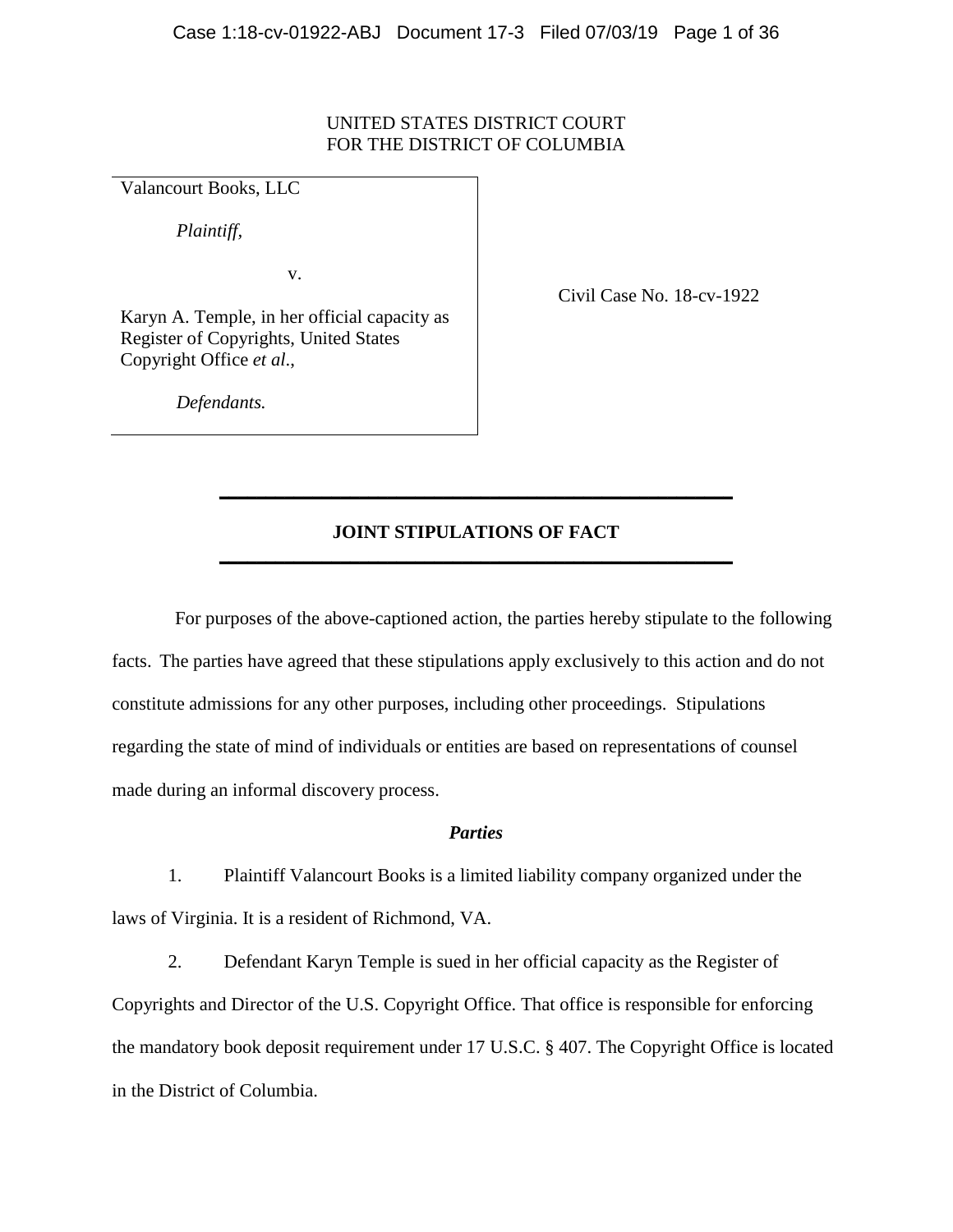### UNITED STATES DISTRICT COURT FOR THE DISTRICT OF COLUMBIA

Valancourt Books, LLC

*Plaintiff,*

v.

Civil Case No. 18-cv-1922

Karyn A. Temple, in her official capacity as Register of Copyrights, United States Copyright Office *et al*.,

*Defendants.*

## **JOINT STIPULATIONS OF FACT \_\_\_\_\_\_\_\_\_\_\_\_\_\_\_\_\_\_\_\_\_\_\_\_\_\_\_\_\_\_\_\_\_\_\_\_\_\_\_\_\_\_\_\_\_\_\_\_\_\_\_\_\_\_\_**

**\_\_\_\_\_\_\_\_\_\_\_\_\_\_\_\_\_\_\_\_\_\_\_\_\_\_\_\_\_\_\_\_\_\_\_\_\_\_\_\_\_\_\_\_\_\_\_\_\_\_\_\_\_\_\_**

For purposes of the above-captioned action, the parties hereby stipulate to the following facts. The parties have agreed that these stipulations apply exclusively to this action and do not constitute admissions for any other purposes, including other proceedings. Stipulations regarding the state of mind of individuals or entities are based on representations of counsel made during an informal discovery process.

### *Parties*

1. Plaintiff Valancourt Books is a limited liability company organized under the laws of Virginia. It is a resident of Richmond, VA.

2. Defendant Karyn Temple is sued in her official capacity as the Register of Copyrights and Director of the U.S. Copyright Office. That office is responsible for enforcing the mandatory book deposit requirement under 17 U.S.C. § 407. The Copyright Office is located in the District of Columbia.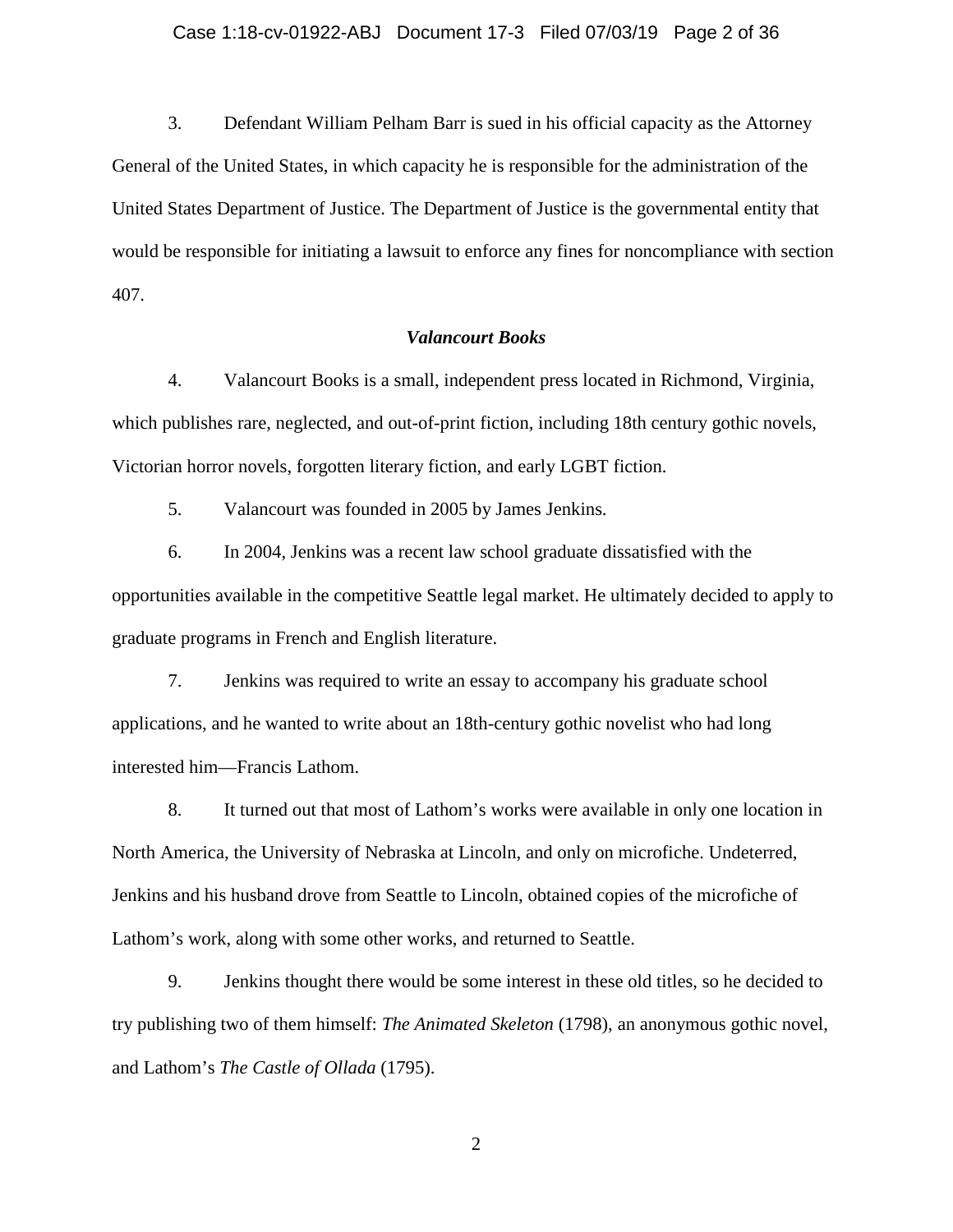#### Case 1:18-cv-01922-ABJ Document 17-3 Filed 07/03/19 Page 2 of 36

3. Defendant William Pelham Barr is sued in his official capacity as the Attorney General of the United States, in which capacity he is responsible for the administration of the United States Department of Justice. The Department of Justice is the governmental entity that would be responsible for initiating a lawsuit to enforce any fines for noncompliance with section 407.

#### *Valancourt Books*

4. Valancourt Books is a small, independent press located in Richmond, Virginia, which publishes rare, neglected, and out-of-print fiction, including 18th century gothic novels, Victorian horror novels, forgotten literary fiction, and early LGBT fiction.

5. Valancourt was founded in 2005 by James Jenkins.

6. In 2004, Jenkins was a recent law school graduate dissatisfied with the opportunities available in the competitive Seattle legal market. He ultimately decided to apply to graduate programs in French and English literature.

7. Jenkins was required to write an essay to accompany his graduate school applications, and he wanted to write about an 18th-century gothic novelist who had long interested him—Francis Lathom.

8. It turned out that most of Lathom's works were available in only one location in North America, the University of Nebraska at Lincoln, and only on microfiche. Undeterred, Jenkins and his husband drove from Seattle to Lincoln, obtained copies of the microfiche of Lathom's work, along with some other works, and returned to Seattle.

9. Jenkins thought there would be some interest in these old titles, so he decided to try publishing two of them himself: *The Animated Skeleton* (1798), an anonymous gothic novel, and Lathom's *The Castle of Ollada* (1795).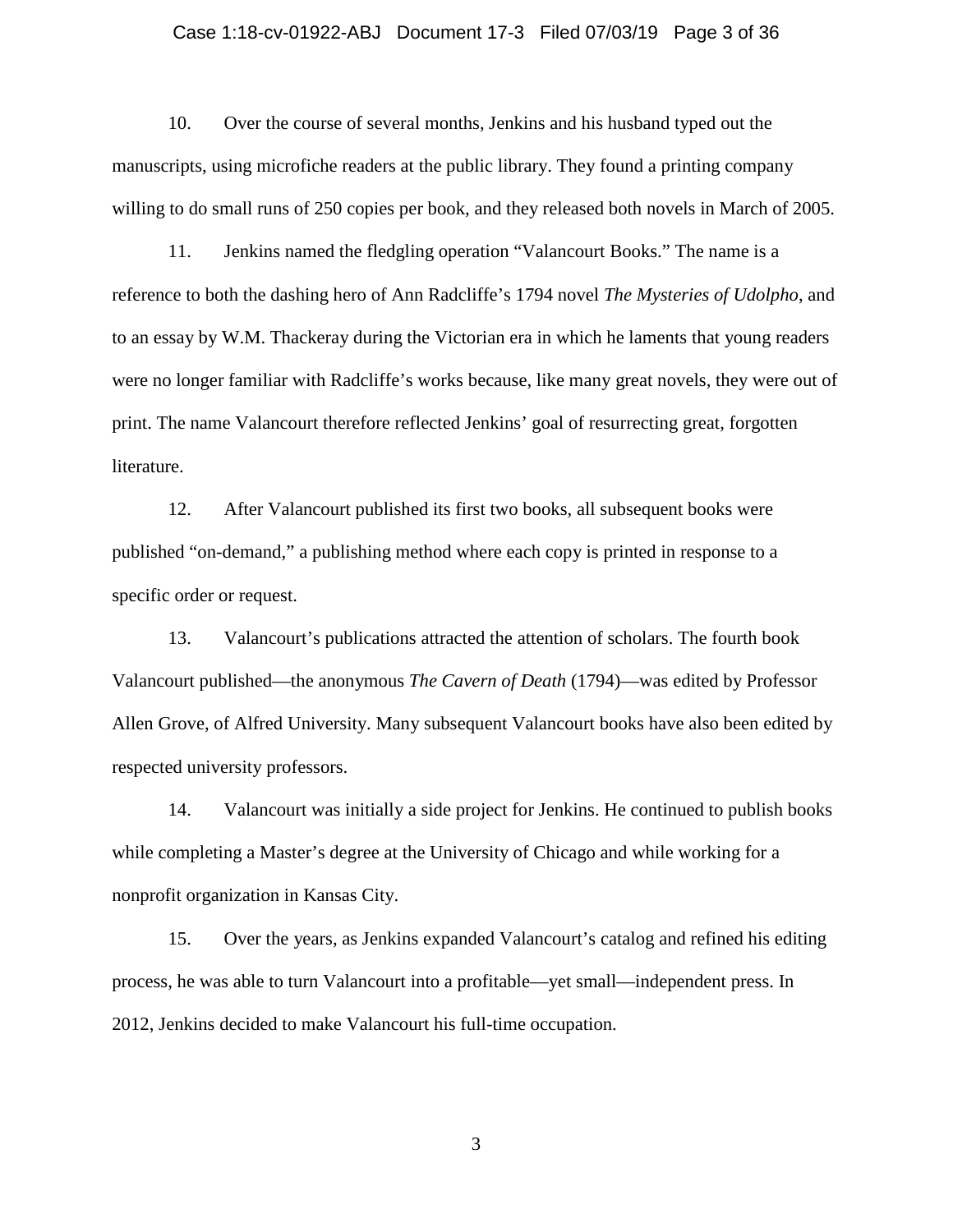#### Case 1:18-cv-01922-ABJ Document 17-3 Filed 07/03/19 Page 3 of 36

10. Over the course of several months, Jenkins and his husband typed out the manuscripts, using microfiche readers at the public library. They found a printing company willing to do small runs of 250 copies per book, and they released both novels in March of 2005.

11. Jenkins named the fledgling operation "Valancourt Books." The name is a reference to both the dashing hero of Ann Radcliffe's 1794 novel *The Mysteries of Udolpho*, and to an essay by W.M. Thackeray during the Victorian era in which he laments that young readers were no longer familiar with Radcliffe's works because, like many great novels, they were out of print. The name Valancourt therefore reflected Jenkins' goal of resurrecting great, forgotten literature.

12. After Valancourt published its first two books, all subsequent books were published "on-demand," a publishing method where each copy is printed in response to a specific order or request.

13. Valancourt's publications attracted the attention of scholars. The fourth book Valancourt published—the anonymous *The Cavern of Death* (1794)—was edited by Professor Allen Grove, of Alfred University. Many subsequent Valancourt books have also been edited by respected university professors.

14. Valancourt was initially a side project for Jenkins. He continued to publish books while completing a Master's degree at the University of Chicago and while working for a nonprofit organization in Kansas City.

15. Over the years, as Jenkins expanded Valancourt's catalog and refined his editing process, he was able to turn Valancourt into a profitable—yet small—independent press. In 2012, Jenkins decided to make Valancourt his full-time occupation.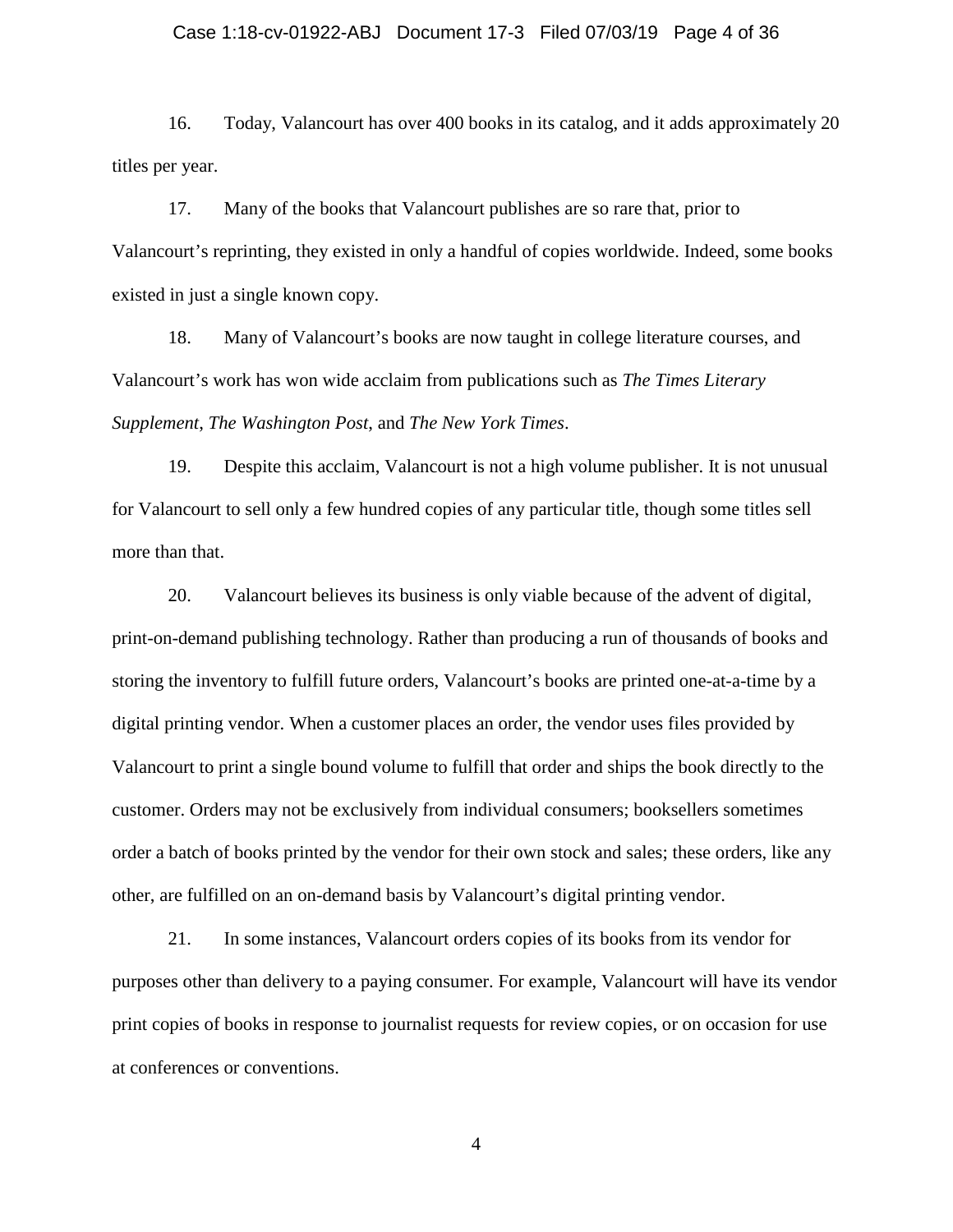#### Case 1:18-cv-01922-ABJ Document 17-3 Filed 07/03/19 Page 4 of 36

16. Today, Valancourt has over 400 books in its catalog, and it adds approximately 20 titles per year.

17. Many of the books that Valancourt publishes are so rare that, prior to Valancourt's reprinting, they existed in only a handful of copies worldwide. Indeed, some books existed in just a single known copy.

18. Many of Valancourt's books are now taught in college literature courses, and Valancourt's work has won wide acclaim from publications such as *The Times Literary Supplement*, *The Washington Post*, and *The New York Times*.

19. Despite this acclaim, Valancourt is not a high volume publisher. It is not unusual for Valancourt to sell only a few hundred copies of any particular title, though some titles sell more than that.

20. Valancourt believes its business is only viable because of the advent of digital, print-on-demand publishing technology. Rather than producing a run of thousands of books and storing the inventory to fulfill future orders, Valancourt's books are printed one-at-a-time by a digital printing vendor. When a customer places an order, the vendor uses files provided by Valancourt to print a single bound volume to fulfill that order and ships the book directly to the customer. Orders may not be exclusively from individual consumers; booksellers sometimes order a batch of books printed by the vendor for their own stock and sales; these orders, like any other, are fulfilled on an on-demand basis by Valancourt's digital printing vendor.

21. In some instances, Valancourt orders copies of its books from its vendor for purposes other than delivery to a paying consumer. For example, Valancourt will have its vendor print copies of books in response to journalist requests for review copies, or on occasion for use at conferences or conventions.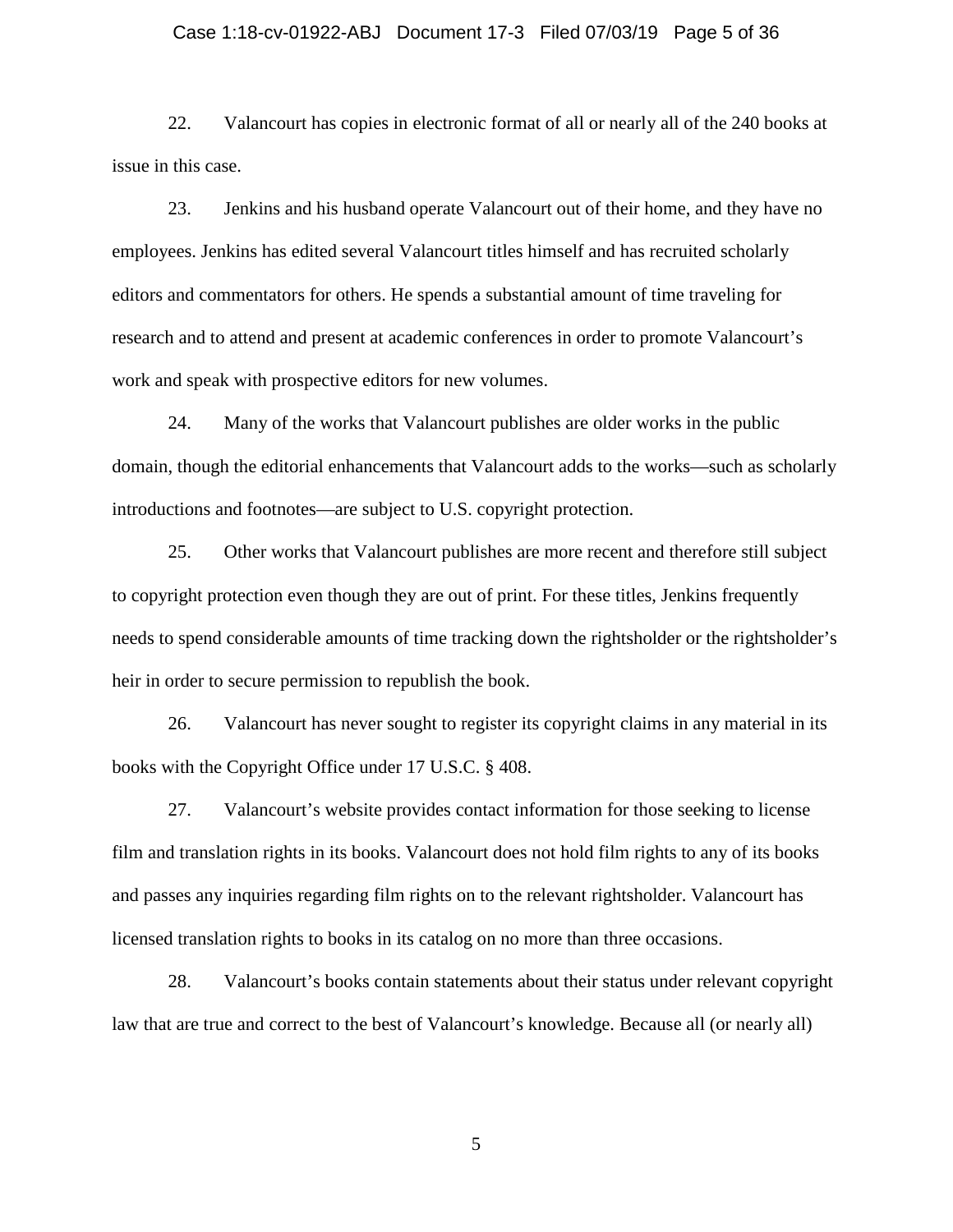#### Case 1:18-cv-01922-ABJ Document 17-3 Filed 07/03/19 Page 5 of 36

22. Valancourt has copies in electronic format of all or nearly all of the 240 books at issue in this case.

23. Jenkins and his husband operate Valancourt out of their home, and they have no employees. Jenkins has edited several Valancourt titles himself and has recruited scholarly editors and commentators for others. He spends a substantial amount of time traveling for research and to attend and present at academic conferences in order to promote Valancourt's work and speak with prospective editors for new volumes.

24. Many of the works that Valancourt publishes are older works in the public domain, though the editorial enhancements that Valancourt adds to the works—such as scholarly introductions and footnotes—are subject to U.S. copyright protection.

25. Other works that Valancourt publishes are more recent and therefore still subject to copyright protection even though they are out of print. For these titles, Jenkins frequently needs to spend considerable amounts of time tracking down the rightsholder or the rightsholder's heir in order to secure permission to republish the book.

26. Valancourt has never sought to register its copyright claims in any material in its books with the Copyright Office under 17 U.S.C. § 408.

27. Valancourt's website provides contact information for those seeking to license film and translation rights in its books. Valancourt does not hold film rights to any of its books and passes any inquiries regarding film rights on to the relevant rightsholder. Valancourt has licensed translation rights to books in its catalog on no more than three occasions.

28. Valancourt's books contain statements about their status under relevant copyright law that are true and correct to the best of Valancourt's knowledge. Because all (or nearly all)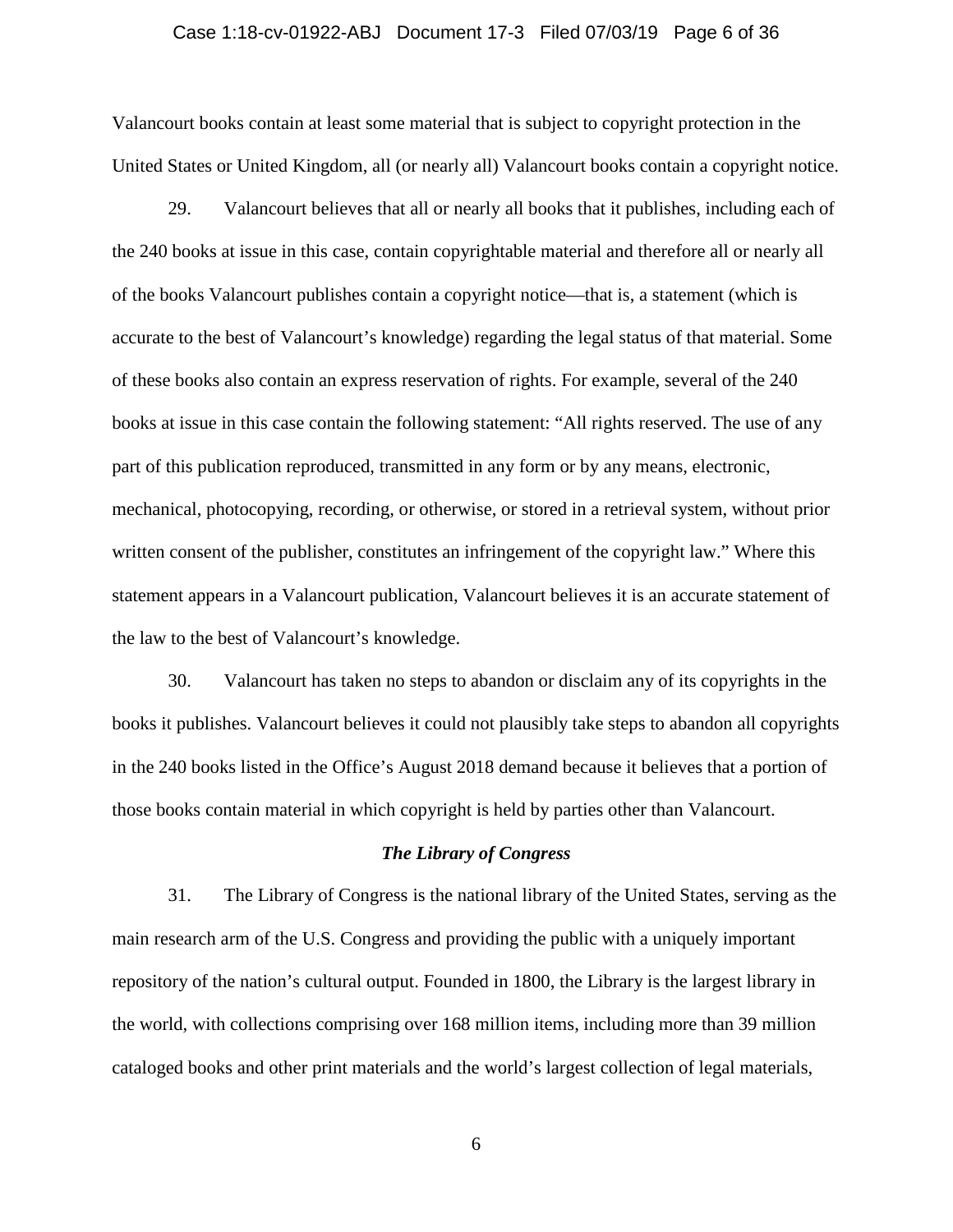#### Case 1:18-cv-01922-ABJ Document 17-3 Filed 07/03/19 Page 6 of 36

Valancourt books contain at least some material that is subject to copyright protection in the United States or United Kingdom, all (or nearly all) Valancourt books contain a copyright notice.

29. Valancourt believes that all or nearly all books that it publishes, including each of the 240 books at issue in this case, contain copyrightable material and therefore all or nearly all of the books Valancourt publishes contain a copyright notice—that is, a statement (which is accurate to the best of Valancourt's knowledge) regarding the legal status of that material. Some of these books also contain an express reservation of rights. For example, several of the 240 books at issue in this case contain the following statement: "All rights reserved. The use of any part of this publication reproduced, transmitted in any form or by any means, electronic, mechanical, photocopying, recording, or otherwise, or stored in a retrieval system, without prior written consent of the publisher, constitutes an infringement of the copyright law." Where this statement appears in a Valancourt publication, Valancourt believes it is an accurate statement of the law to the best of Valancourt's knowledge.

30. Valancourt has taken no steps to abandon or disclaim any of its copyrights in the books it publishes. Valancourt believes it could not plausibly take steps to abandon all copyrights in the 240 books listed in the Office's August 2018 demand because it believes that a portion of those books contain material in which copyright is held by parties other than Valancourt.

#### *The Library of Congress*

31. The Library of Congress is the national library of the United States, serving as the main research arm of the U.S. Congress and providing the public with a uniquely important repository of the nation's cultural output. Founded in 1800, the Library is the largest library in the world, with collections comprising over 168 million items, including more than 39 million cataloged books and other print materials and the world's largest collection of legal materials,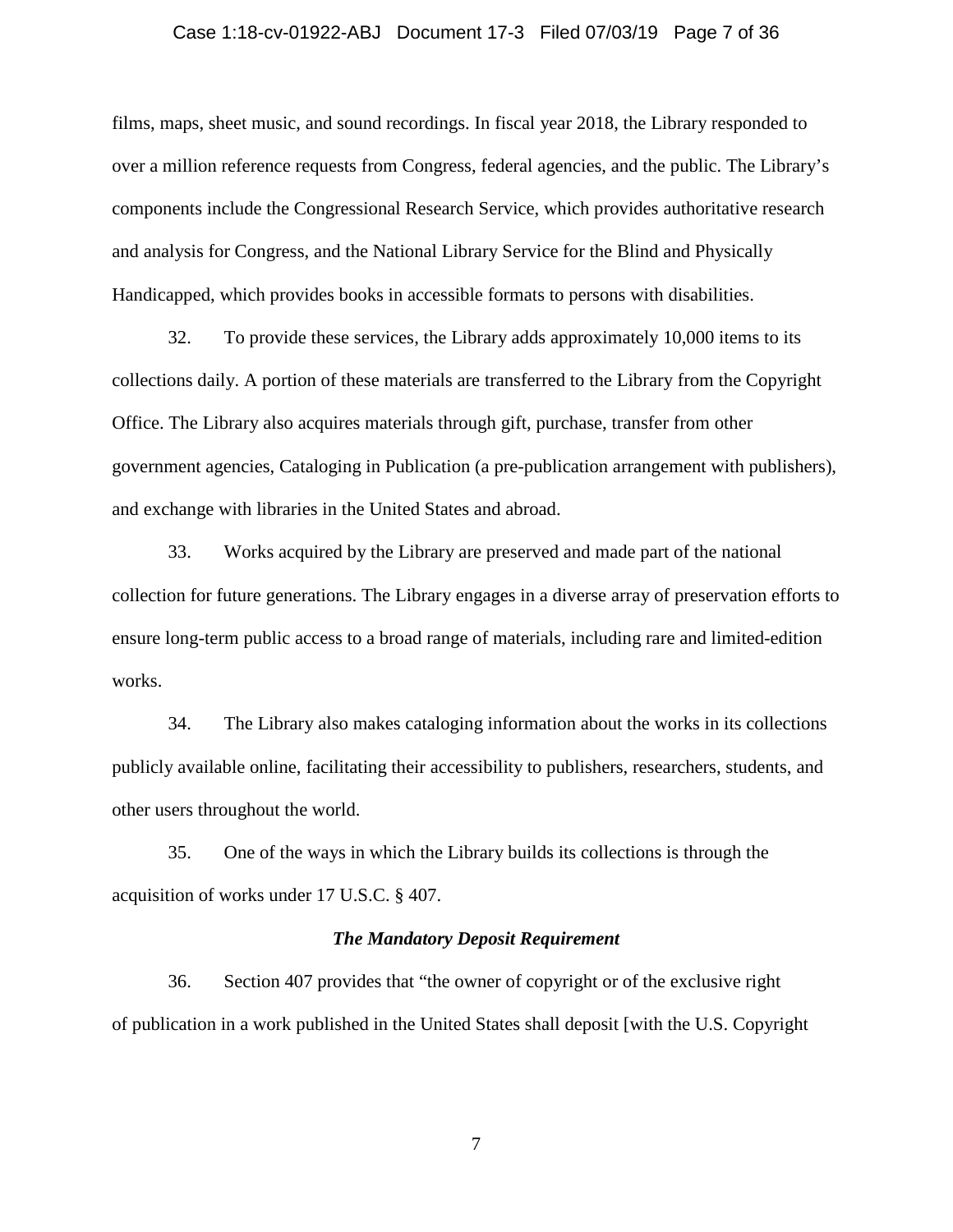#### Case 1:18-cv-01922-ABJ Document 17-3 Filed 07/03/19 Page 7 of 36

films, maps, sheet music, and sound recordings. In fiscal year 2018, the Library responded to over a million reference requests from Congress, federal agencies, and the public. The Library's components include the Congressional Research Service, which provides authoritative research and analysis for Congress, and the National Library Service for the Blind and Physically Handicapped, which provides books in accessible formats to persons with disabilities.

32. To provide these services, the Library adds approximately 10,000 items to its collections daily. A portion of these materials are transferred to the Library from the Copyright Office. The Library also acquires materials through gift, purchase, transfer from other government agencies, Cataloging in Publication (a pre-publication arrangement with publishers), and exchange with libraries in the United States and abroad.

33. Works acquired by the Library are preserved and made part of the national collection for future generations. The Library engages in a diverse array of preservation efforts to ensure long-term public access to a broad range of materials, including rare and limited-edition works.

34. The Library also makes cataloging information about the works in its collections publicly available online, facilitating their accessibility to publishers, researchers, students, and other users throughout the world.

35. One of the ways in which the Library builds its collections is through the acquisition of works under 17 U.S.C. § 407.

#### *The Mandatory Deposit Requirement*

36. Section 407 provides that "the owner of copyright or of the exclusive right of publication in a work published in the United States shall deposit [with the U.S. Copyright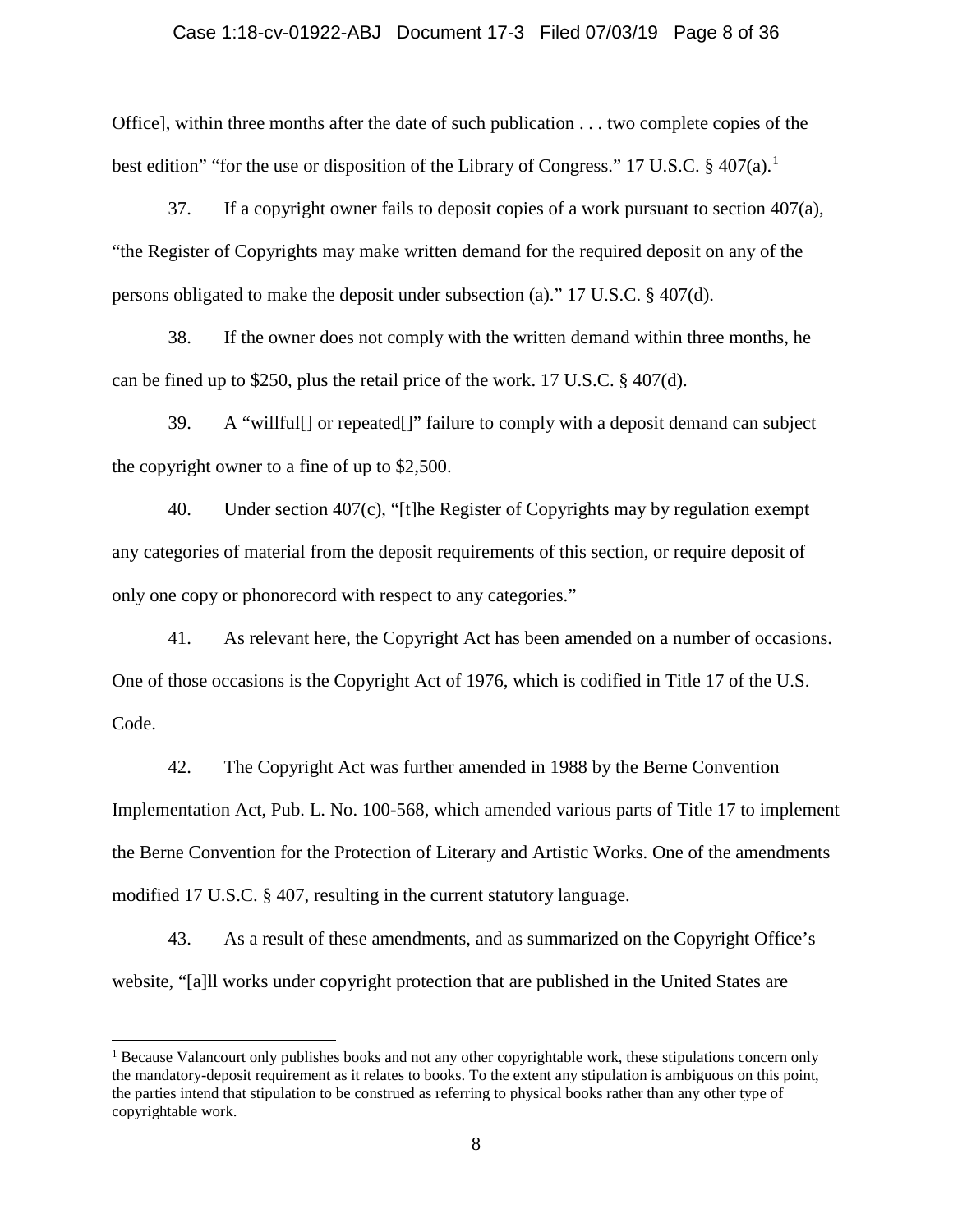#### Case 1:18-cv-01922-ABJ Document 17-3 Filed 07/03/19 Page 8 of 36

Office], within three months after the date of such publication . . . two complete copies of the best edition" "for the use or disposition of the Library of Congress." [1](#page-7-0)7 U.S.C.  $\S$  407(a).<sup>1</sup>

37. If a copyright owner fails to deposit copies of a work pursuant to section  $407(a)$ , "the Register of Copyrights may make written demand for the required deposit on any of the persons obligated to make the deposit under subsection (a)." 17 U.S.C.  $\S 407(d)$ .

38. If the owner does not comply with the written demand within three months, he can be fined up to \$250, plus the retail price of the work. 17 U.S.C. § 407(d).

39. A "willful[] or repeated[]" failure to comply with a deposit demand can subject the copyright owner to a fine of up to \$2,500.

40. Under section 407(c), "[t]he Register of Copyrights may by regulation exempt any categories of material from the deposit requirements of this section, or require deposit of only one copy or phonorecord with respect to any categories."

41. As relevant here, the Copyright Act has been amended on a number of occasions. One of those occasions is the Copyright Act of 1976, which is codified in Title 17 of the U.S. Code.

42. The Copyright Act was further amended in 1988 by the Berne Convention Implementation Act, Pub. L. No. 100-568, which amended various parts of Title 17 to implement the Berne Convention for the Protection of Literary and Artistic Works. One of the amendments modified 17 U.S.C. § 407, resulting in the current statutory language.

43. As a result of these amendments, and as summarized on the Copyright Office's website, "[a]ll works under copyright protection that are published in the United States are

l

<span id="page-7-0"></span> $<sup>1</sup>$  Because Valancourt only publishes books and not any other copyrightable work, these stipulations concern only</sup> the mandatory-deposit requirement as it relates to books. To the extent any stipulation is ambiguous on this point, the parties intend that stipulation to be construed as referring to physical books rather than any other type of copyrightable work.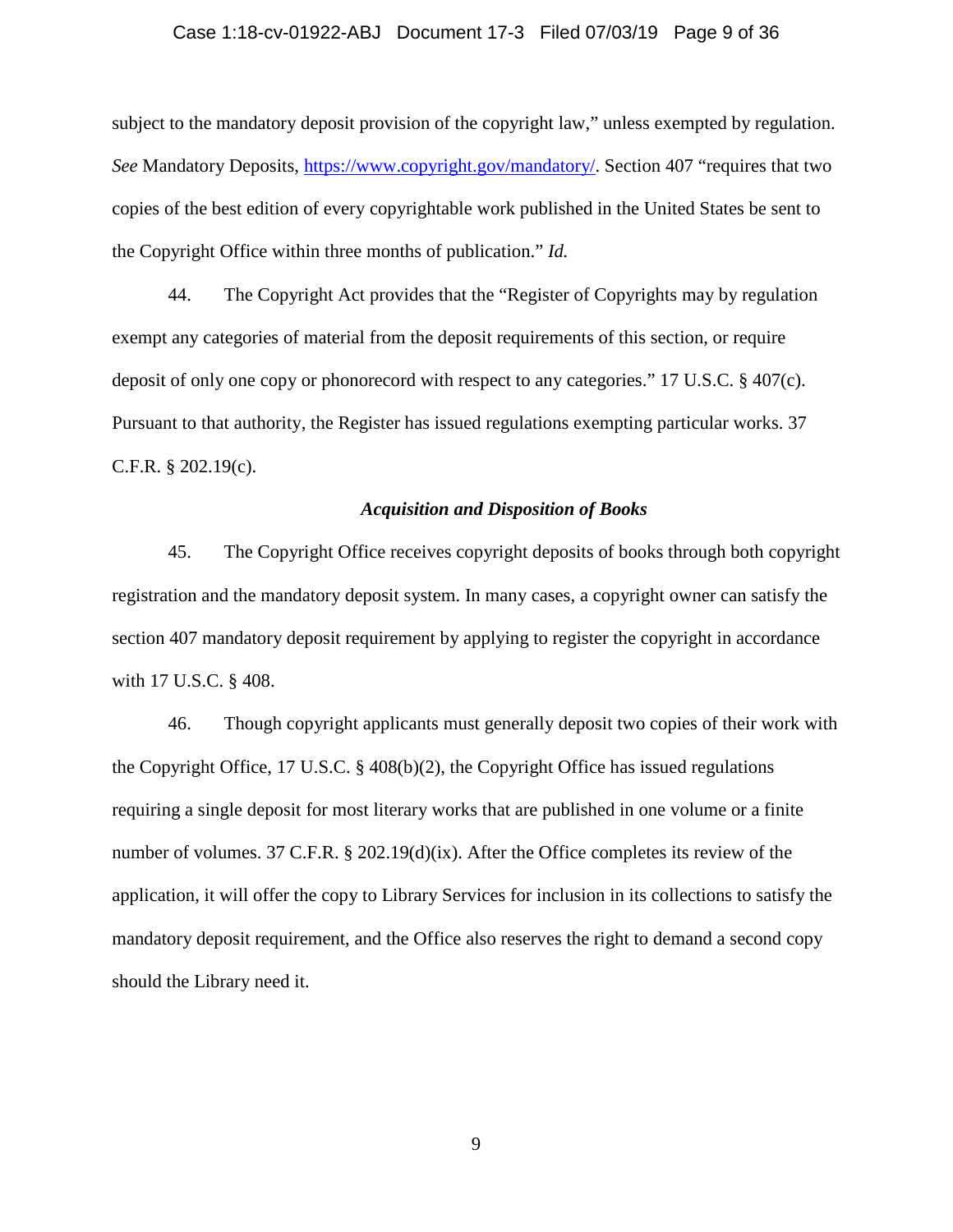#### Case 1:18-cv-01922-ABJ Document 17-3 Filed 07/03/19 Page 9 of 36

subject to the mandatory deposit provision of the copyright law," unless exempted by regulation. *See* Mandatory Deposits, [https://www.copyright.gov/mandatory/.](https://www.copyright.gov/mandatory/) Section 407 "requires that two copies of the best edition of every copyrightable work published in the United States be sent to the Copyright Office within three months of publication." *Id.*

44. The Copyright Act provides that the "Register of Copyrights may by regulation exempt any categories of material from the deposit requirements of this section, or require deposit of only one copy or phonorecord with respect to any categories." 17 U.S.C. § 407(c). Pursuant to that authority, the Register has issued regulations exempting particular works. 37 C.F.R. § 202.19(c).

#### *Acquisition and Disposition of Books*

45. The Copyright Office receives copyright deposits of books through both copyright registration and the mandatory deposit system. In many cases, a copyright owner can satisfy the section 407 mandatory deposit requirement by applying to register the copyright in accordance with 17 U.S.C. § 408.

46. Though copyright applicants must generally deposit two copies of their work with the Copyright Office, 17 U.S.C. § 408(b)(2), the Copyright Office has issued regulations requiring a single deposit for most literary works that are published in one volume or a finite number of volumes. 37 C.F.R. § 202.19(d)(ix). After the Office completes its review of the application, it will offer the copy to Library Services for inclusion in its collections to satisfy the mandatory deposit requirement, and the Office also reserves the right to demand a second copy should the Library need it.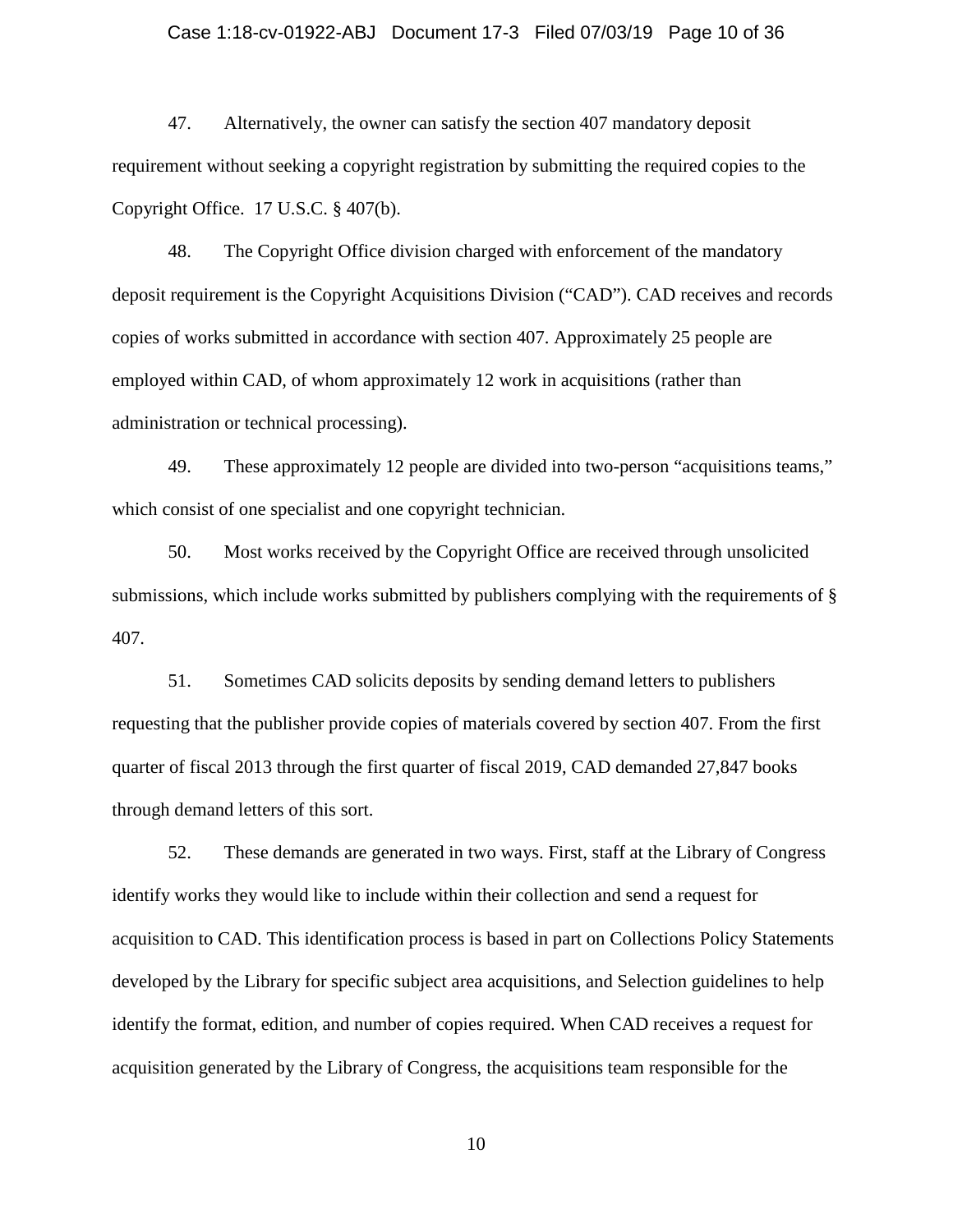#### Case 1:18-cv-01922-ABJ Document 17-3 Filed 07/03/19 Page 10 of 36

47. Alternatively, the owner can satisfy the section 407 mandatory deposit requirement without seeking a copyright registration by submitting the required copies to the Copyright Office. 17 U.S.C. § 407(b).

48. The Copyright Office division charged with enforcement of the mandatory deposit requirement is the Copyright Acquisitions Division ("CAD"). CAD receives and records copies of works submitted in accordance with section 407. Approximately 25 people are employed within CAD, of whom approximately 12 work in acquisitions (rather than administration or technical processing).

49. These approximately 12 people are divided into two-person "acquisitions teams," which consist of one specialist and one copyright technician.

50. Most works received by the Copyright Office are received through unsolicited submissions, which include works submitted by publishers complying with the requirements of § 407.

51. Sometimes CAD solicits deposits by sending demand letters to publishers requesting that the publisher provide copies of materials covered by section 407. From the first quarter of fiscal 2013 through the first quarter of fiscal 2019, CAD demanded 27,847 books through demand letters of this sort.

52. These demands are generated in two ways. First, staff at the Library of Congress identify works they would like to include within their collection and send a request for acquisition to CAD. This identification process is based in part on Collections Policy Statements developed by the Library for specific subject area acquisitions, and Selection guidelines to help identify the format, edition, and number of copies required. When CAD receives a request for acquisition generated by the Library of Congress, the acquisitions team responsible for the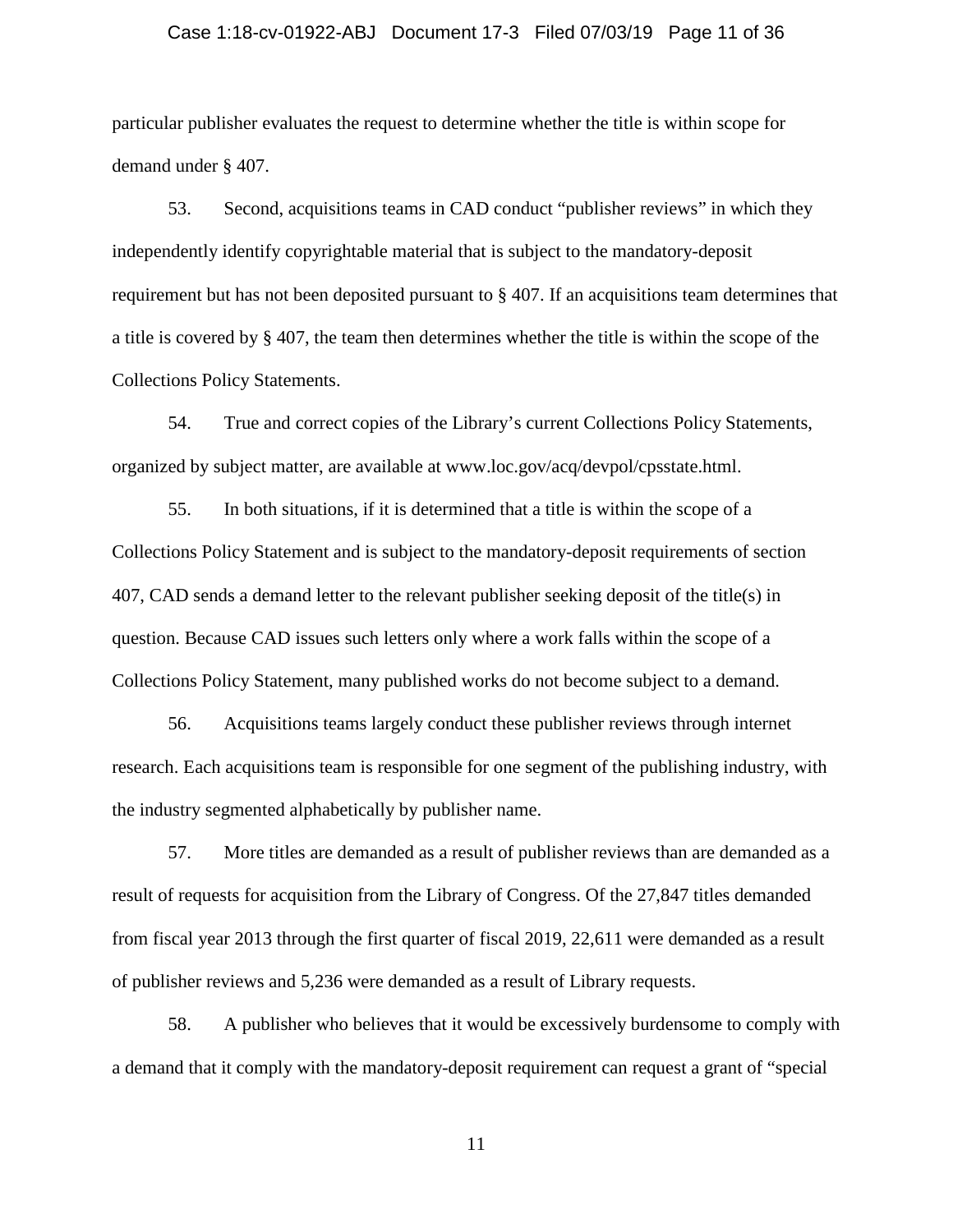#### Case 1:18-cv-01922-ABJ Document 17-3 Filed 07/03/19 Page 11 of 36

particular publisher evaluates the request to determine whether the title is within scope for demand under § 407.

53. Second, acquisitions teams in CAD conduct "publisher reviews" in which they independently identify copyrightable material that is subject to the mandatory-deposit requirement but has not been deposited pursuant to § 407. If an acquisitions team determines that a title is covered by § 407, the team then determines whether the title is within the scope of the Collections Policy Statements.

54. True and correct copies of the Library's current Collections Policy Statements, organized by subject matter, are available at www.loc.gov/acq/devpol/cpsstate.html.

55. In both situations, if it is determined that a title is within the scope of a Collections Policy Statement and is subject to the mandatory-deposit requirements of section 407, CAD sends a demand letter to the relevant publisher seeking deposit of the title(s) in question. Because CAD issues such letters only where a work falls within the scope of a Collections Policy Statement, many published works do not become subject to a demand.

56. Acquisitions teams largely conduct these publisher reviews through internet research. Each acquisitions team is responsible for one segment of the publishing industry, with the industry segmented alphabetically by publisher name.

57. More titles are demanded as a result of publisher reviews than are demanded as a result of requests for acquisition from the Library of Congress. Of the 27,847 titles demanded from fiscal year 2013 through the first quarter of fiscal 2019, 22,611 were demanded as a result of publisher reviews and 5,236 were demanded as a result of Library requests.

58. A publisher who believes that it would be excessively burdensome to comply with a demand that it comply with the mandatory-deposit requirement can request a grant of "special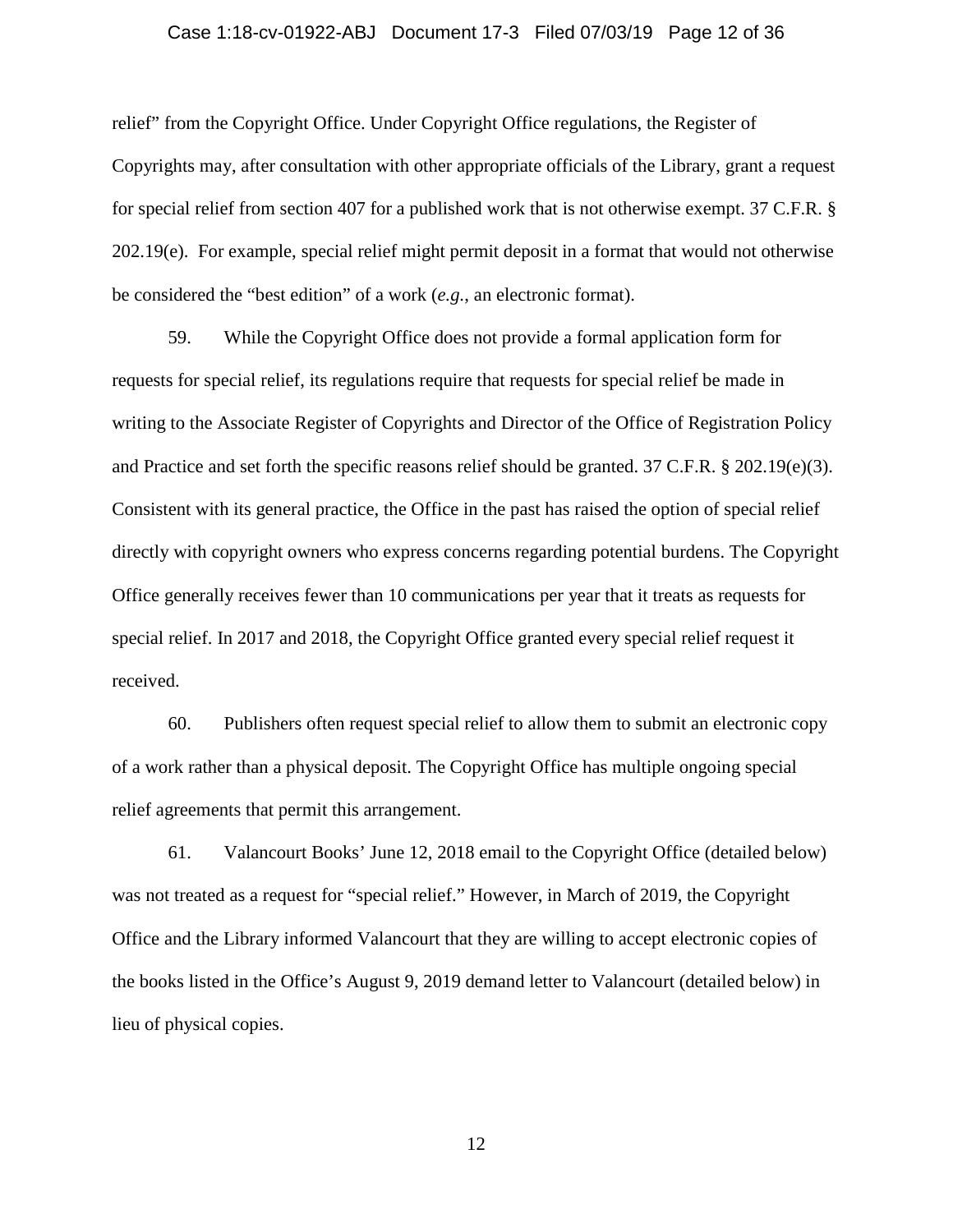#### Case 1:18-cv-01922-ABJ Document 17-3 Filed 07/03/19 Page 12 of 36

relief" from the Copyright Office. Under Copyright Office regulations, the Register of Copyrights may, after consultation with other appropriate officials of the Library, grant a request for special relief from section 407 for a published work that is not otherwise exempt. 37 C.F.R. § 202.19(e). For example, special relief might permit deposit in a format that would not otherwise be considered the "best edition" of a work (*e.g.*, an electronic format).

59. While the Copyright Office does not provide a formal application form for requests for special relief, its regulations require that requests for special relief be made in writing to the Associate Register of Copyrights and Director of the Office of Registration Policy and Practice and set forth the specific reasons relief should be granted. 37 C.F.R. § 202.19(e)(3). Consistent with its general practice, the Office in the past has raised the option of special relief directly with copyright owners who express concerns regarding potential burdens. The Copyright Office generally receives fewer than 10 communications per year that it treats as requests for special relief. In 2017 and 2018, the Copyright Office granted every special relief request it received.

60. Publishers often request special relief to allow them to submit an electronic copy of a work rather than a physical deposit. The Copyright Office has multiple ongoing special relief agreements that permit this arrangement.

61. Valancourt Books' June 12, 2018 email to the Copyright Office (detailed below) was not treated as a request for "special relief." However, in March of 2019, the Copyright Office and the Library informed Valancourt that they are willing to accept electronic copies of the books listed in the Office's August 9, 2019 demand letter to Valancourt (detailed below) in lieu of physical copies.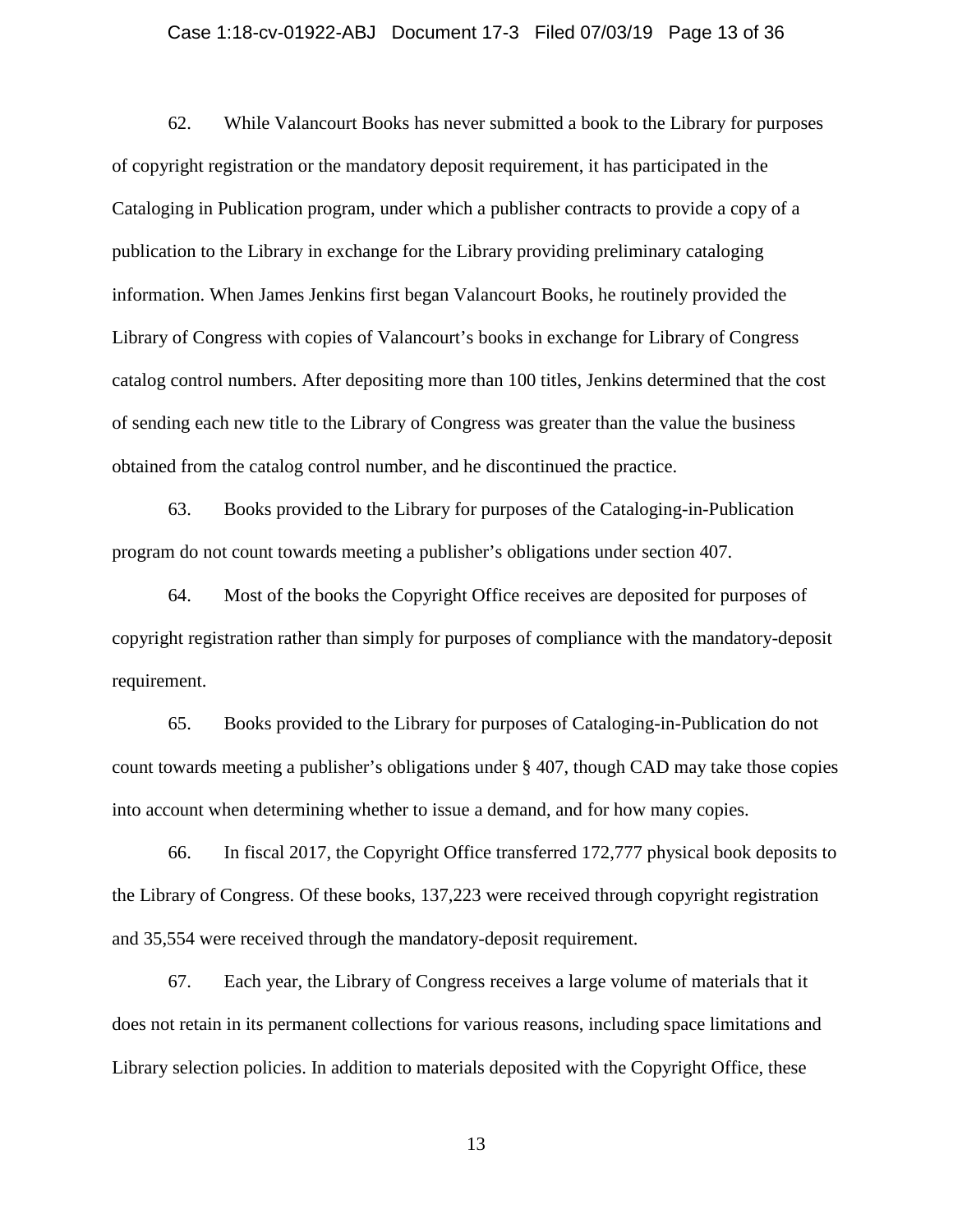#### Case 1:18-cv-01922-ABJ Document 17-3 Filed 07/03/19 Page 13 of 36

62. While Valancourt Books has never submitted a book to the Library for purposes of copyright registration or the mandatory deposit requirement, it has participated in the Cataloging in Publication program, under which a publisher contracts to provide a copy of a publication to the Library in exchange for the Library providing preliminary cataloging information. When James Jenkins first began Valancourt Books, he routinely provided the Library of Congress with copies of Valancourt's books in exchange for Library of Congress catalog control numbers. After depositing more than 100 titles, Jenkins determined that the cost of sending each new title to the Library of Congress was greater than the value the business obtained from the catalog control number, and he discontinued the practice.

63. Books provided to the Library for purposes of the Cataloging-in-Publication program do not count towards meeting a publisher's obligations under section 407.

64. Most of the books the Copyright Office receives are deposited for purposes of copyright registration rather than simply for purposes of compliance with the mandatory-deposit requirement.

65. Books provided to the Library for purposes of Cataloging-in-Publication do not count towards meeting a publisher's obligations under § 407, though CAD may take those copies into account when determining whether to issue a demand, and for how many copies.

66. In fiscal 2017, the Copyright Office transferred 172,777 physical book deposits to the Library of Congress. Of these books, 137,223 were received through copyright registration and 35,554 were received through the mandatory-deposit requirement.

67. Each year, the Library of Congress receives a large volume of materials that it does not retain in its permanent collections for various reasons, including space limitations and Library selection policies. In addition to materials deposited with the Copyright Office, these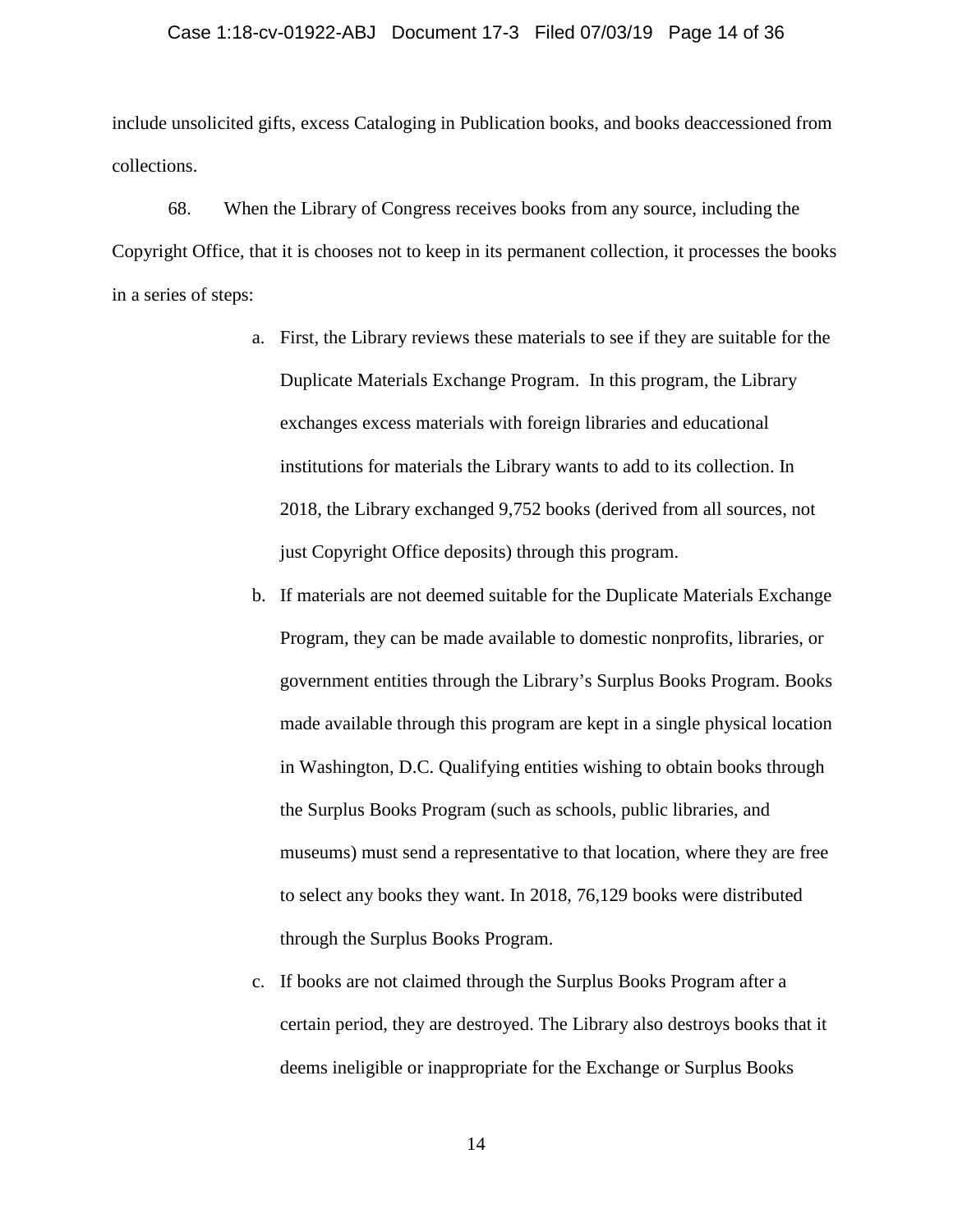#### Case 1:18-cv-01922-ABJ Document 17-3 Filed 07/03/19 Page 14 of 36

include unsolicited gifts, excess Cataloging in Publication books, and books deaccessioned from collections.

68. When the Library of Congress receives books from any source, including the Copyright Office, that it is chooses not to keep in its permanent collection, it processes the books in a series of steps:

- a. First, the Library reviews these materials to see if they are suitable for the Duplicate Materials Exchange Program. In this program, the Library exchanges excess materials with foreign libraries and educational institutions for materials the Library wants to add to its collection. In 2018, the Library exchanged 9,752 books (derived from all sources, not just Copyright Office deposits) through this program.
- b. If materials are not deemed suitable for the Duplicate Materials Exchange Program, they can be made available to domestic nonprofits, libraries, or government entities through the Library's Surplus Books Program. Books made available through this program are kept in a single physical location in Washington, D.C. Qualifying entities wishing to obtain books through the Surplus Books Program (such as schools, public libraries, and museums) must send a representative to that location, where they are free to select any books they want. In 2018, 76,129 books were distributed through the Surplus Books Program.
- c. If books are not claimed through the Surplus Books Program after a certain period, they are destroyed. The Library also destroys books that it deems ineligible or inappropriate for the Exchange or Surplus Books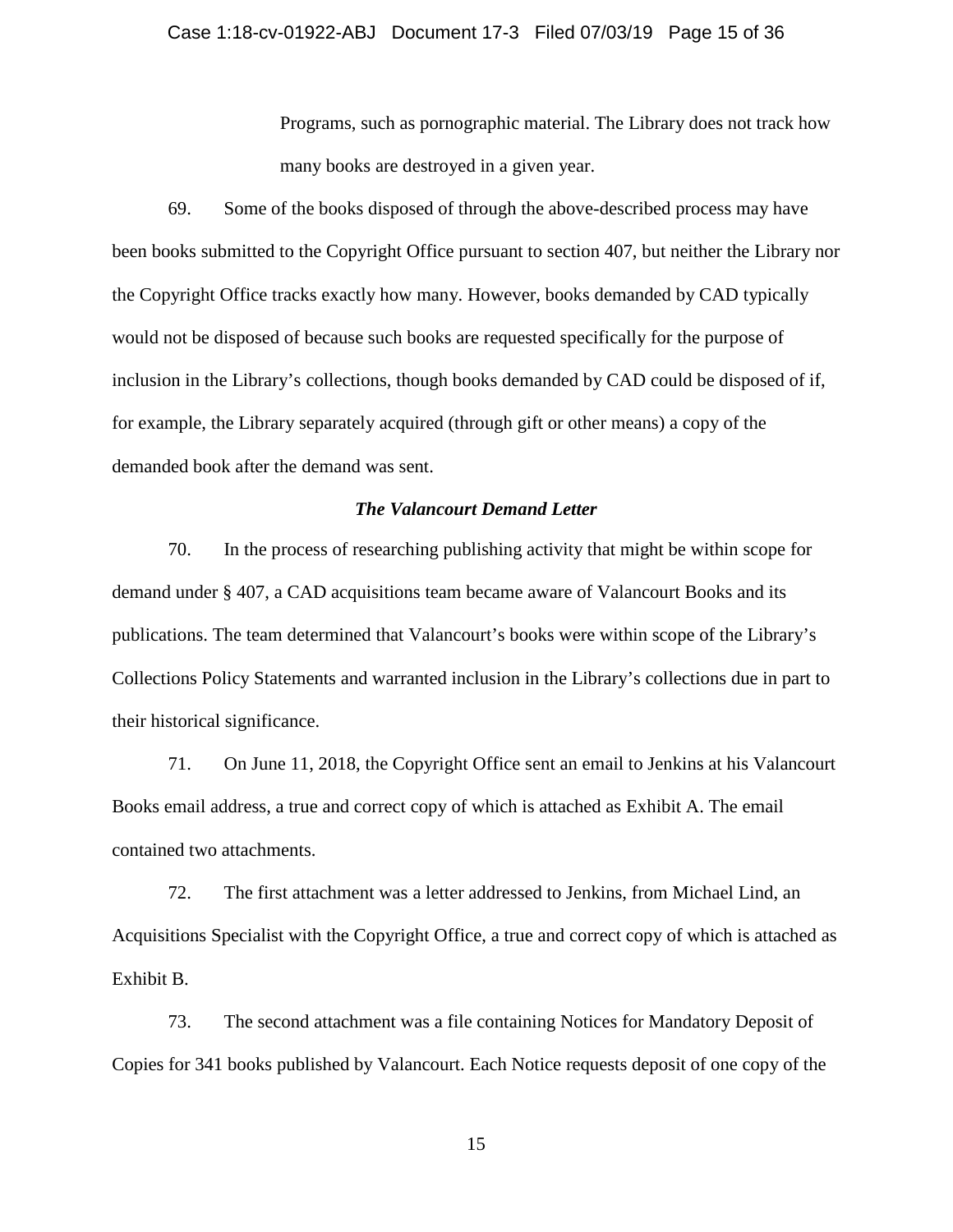#### Case 1:18-cv-01922-ABJ Document 17-3 Filed 07/03/19 Page 15 of 36

Programs, such as pornographic material. The Library does not track how many books are destroyed in a given year.

69. Some of the books disposed of through the above-described process may have been books submitted to the Copyright Office pursuant to section 407, but neither the Library nor the Copyright Office tracks exactly how many. However, books demanded by CAD typically would not be disposed of because such books are requested specifically for the purpose of inclusion in the Library's collections, though books demanded by CAD could be disposed of if, for example, the Library separately acquired (through gift or other means) a copy of the demanded book after the demand was sent.

#### *The Valancourt Demand Letter*

70. In the process of researching publishing activity that might be within scope for demand under § 407, a CAD acquisitions team became aware of Valancourt Books and its publications. The team determined that Valancourt's books were within scope of the Library's Collections Policy Statements and warranted inclusion in the Library's collections due in part to their historical significance.

71. On June 11, 2018, the Copyright Office sent an email to Jenkins at his Valancourt Books email address, a true and correct copy of which is attached as Exhibit A. The email contained two attachments.

72. The first attachment was a letter addressed to Jenkins, from Michael Lind, an Acquisitions Specialist with the Copyright Office, a true and correct copy of which is attached as Exhibit B.

73. The second attachment was a file containing Notices for Mandatory Deposit of Copies for 341 books published by Valancourt. Each Notice requests deposit of one copy of the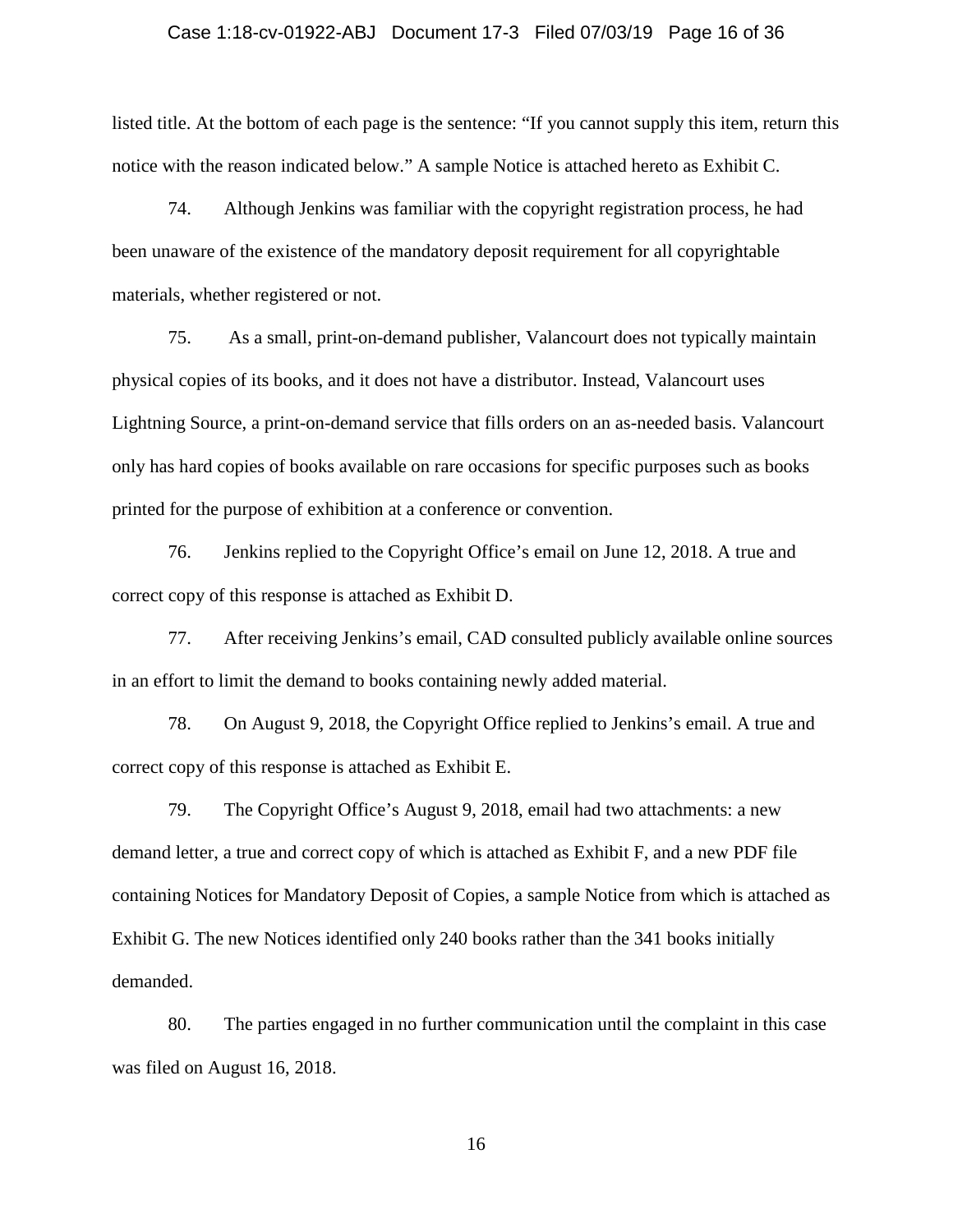#### Case 1:18-cv-01922-ABJ Document 17-3 Filed 07/03/19 Page 16 of 36

listed title. At the bottom of each page is the sentence: "If you cannot supply this item, return this notice with the reason indicated below." A sample Notice is attached hereto as Exhibit C.

74. Although Jenkins was familiar with the copyright registration process, he had been unaware of the existence of the mandatory deposit requirement for all copyrightable materials, whether registered or not.

75. As a small, print-on-demand publisher, Valancourt does not typically maintain physical copies of its books, and it does not have a distributor. Instead, Valancourt uses Lightning Source, a print-on-demand service that fills orders on an as-needed basis. Valancourt only has hard copies of books available on rare occasions for specific purposes such as books printed for the purpose of exhibition at a conference or convention.

76. Jenkins replied to the Copyright Office's email on June 12, 2018. A true and correct copy of this response is attached as Exhibit D.

77. After receiving Jenkins's email, CAD consulted publicly available online sources in an effort to limit the demand to books containing newly added material.

78. On August 9, 2018, the Copyright Office replied to Jenkins's email. A true and correct copy of this response is attached as Exhibit E.

79. The Copyright Office's August 9, 2018, email had two attachments: a new demand letter, a true and correct copy of which is attached as Exhibit F, and a new PDF file containing Notices for Mandatory Deposit of Copies, a sample Notice from which is attached as Exhibit G. The new Notices identified only 240 books rather than the 341 books initially demanded.

80. The parties engaged in no further communication until the complaint in this case was filed on August 16, 2018.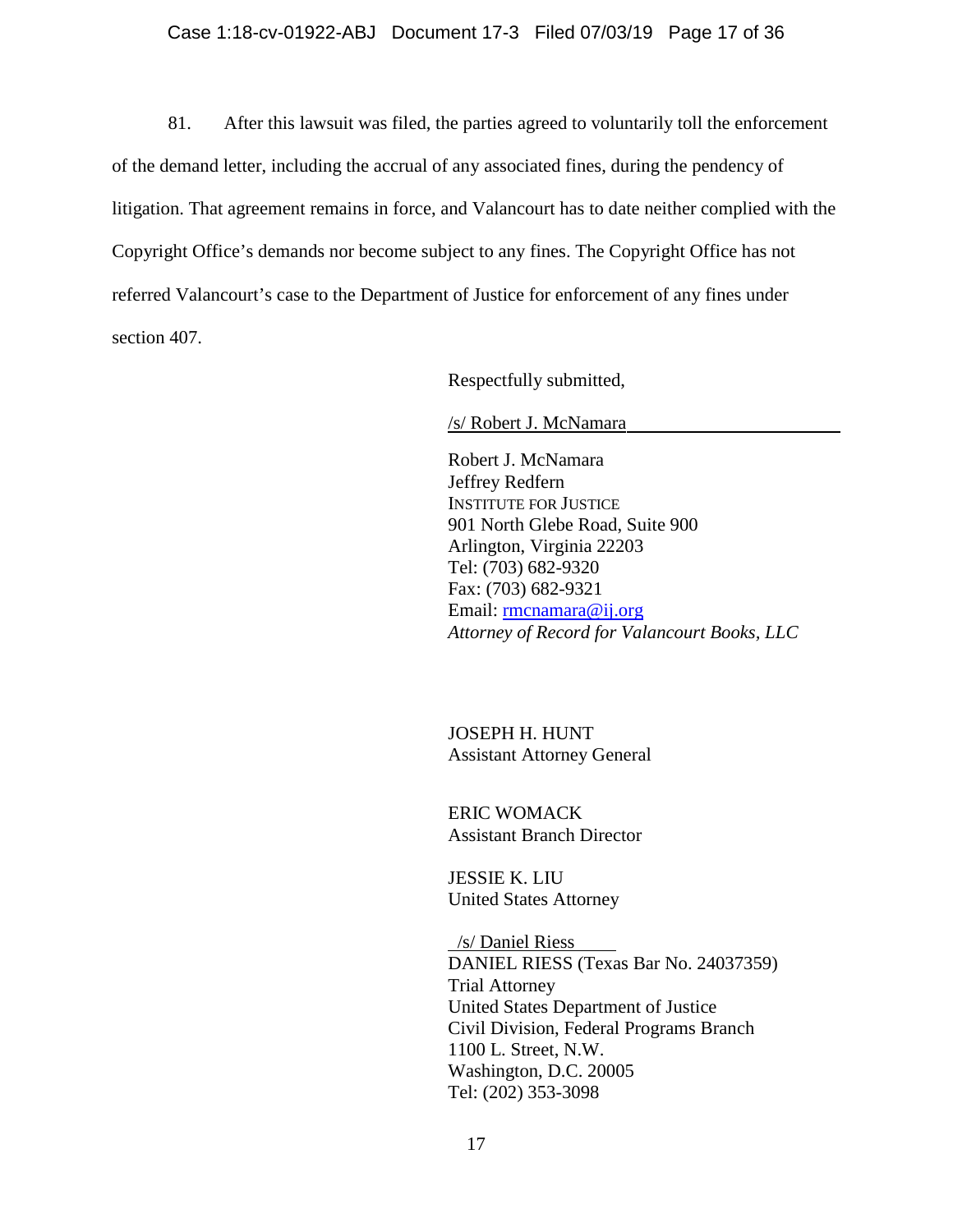#### Case 1:18-cv-01922-ABJ Document 17-3 Filed 07/03/19 Page 17 of 36

81. After this lawsuit was filed, the parties agreed to voluntarily toll the enforcement of the demand letter, including the accrual of any associated fines, during the pendency of litigation. That agreement remains in force, and Valancourt has to date neither complied with the Copyright Office's demands nor become subject to any fines. The Copyright Office has not referred Valancourt's case to the Department of Justice for enforcement of any fines under section 407.

Respectfully submitted,

/s/ Robert J. McNamara

Robert J. McNamara Jeffrey Redfern INSTITUTE FOR JUSTICE 901 North Glebe Road, Suite 900 Arlington, Virginia 22203 Tel: (703) 682-9320 Fax: (703) 682-9321 Email: [rmcnamara@ij.org](mailto:rmcnamara@ij.org) *Attorney of Record for Valancourt Books, LLC*

JOSEPH H. HUNT Assistant Attorney General

ERIC WOMACK Assistant Branch Director

JESSIE K. LIU United States Attorney

 /s/ Daniel Riess DANIEL RIESS (Texas Bar No. 24037359) Trial Attorney United States Department of Justice Civil Division, Federal Programs Branch 1100 L. Street, N.W. Washington, D.C. 20005 Tel: (202) 353-3098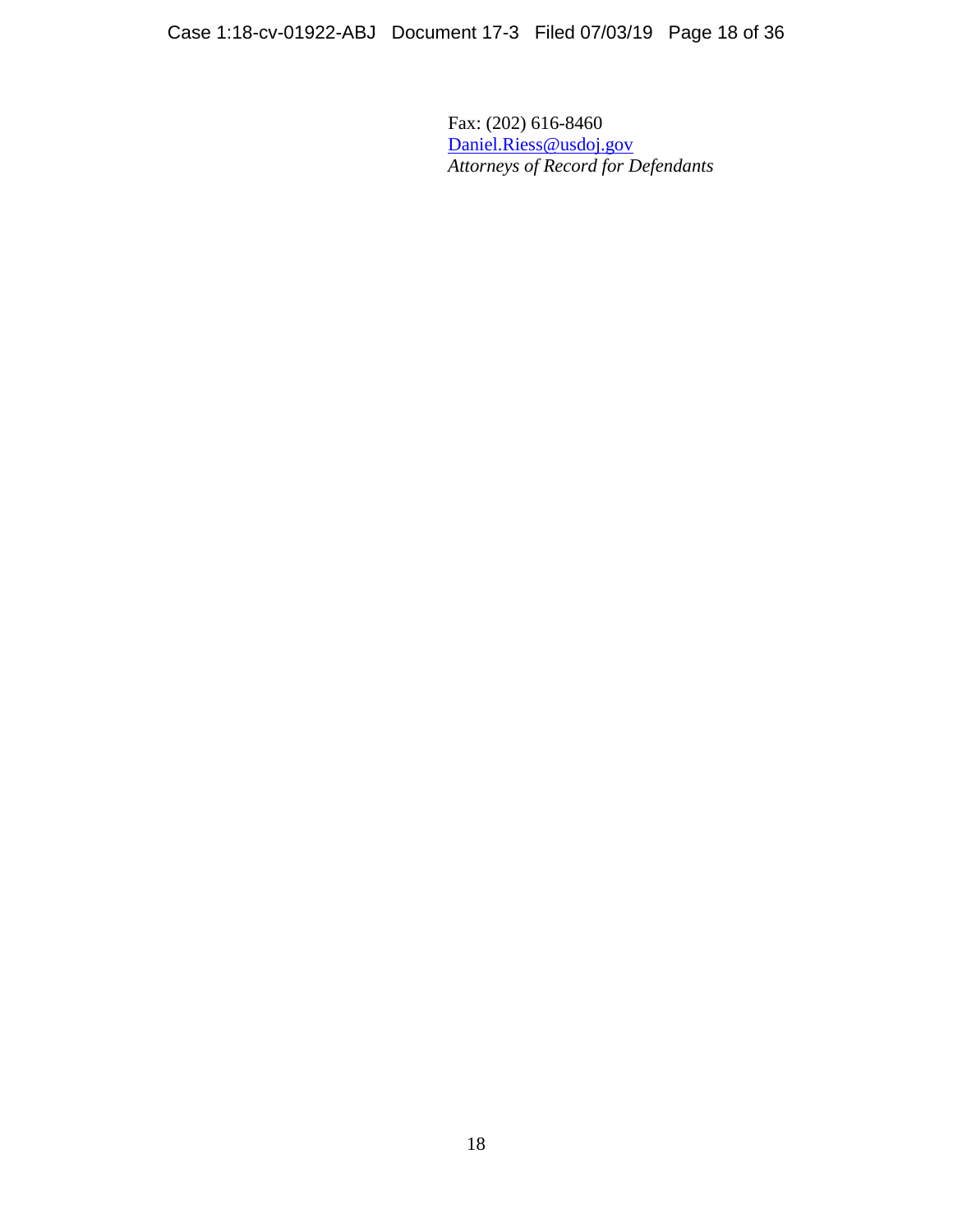Fax: (202) 616-8460 [Daniel.Riess@usdoj.gov](mailto:Daniel.Riess@usdoj.gov) *Attorneys of Record for Defendants*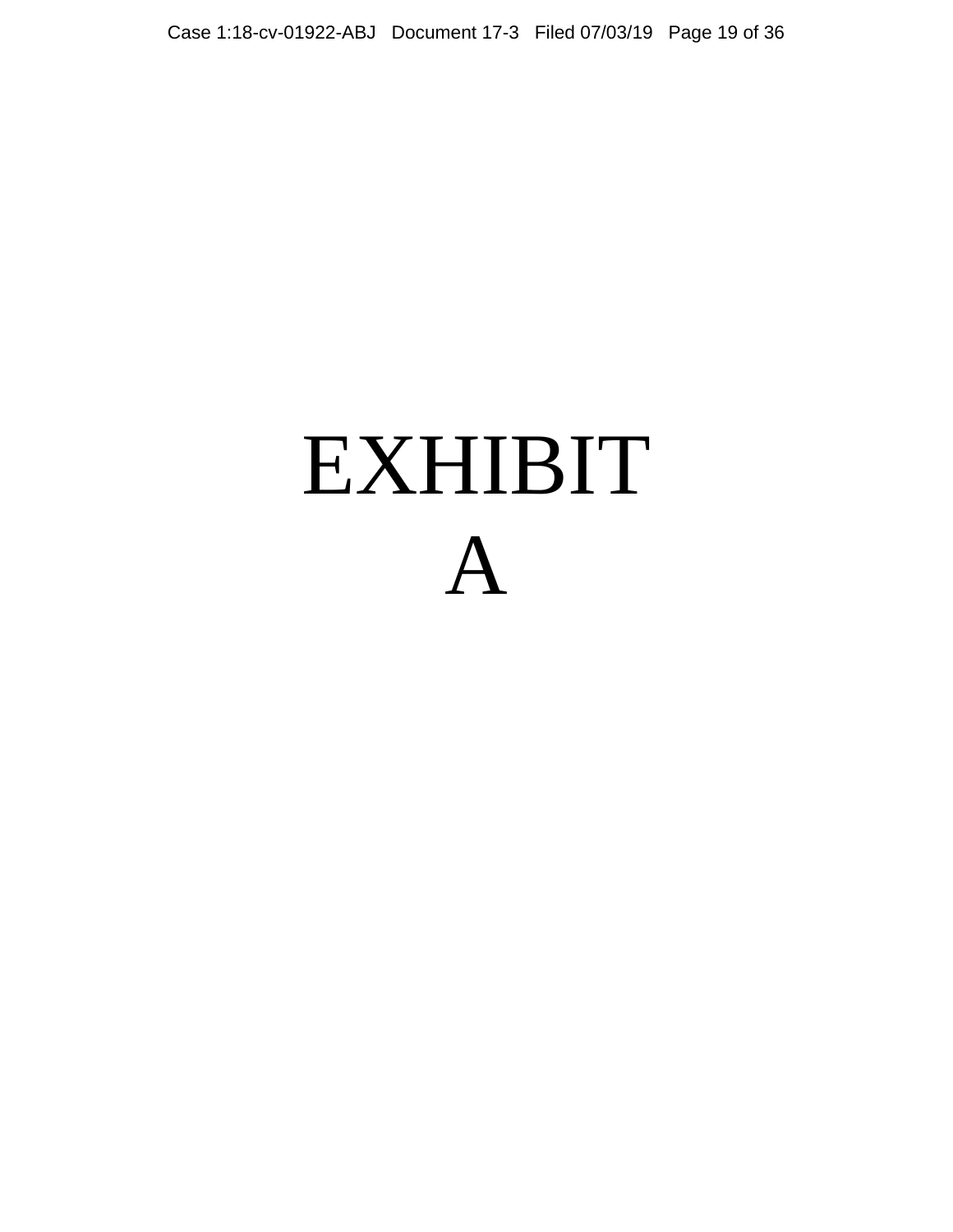# EXHIBIT A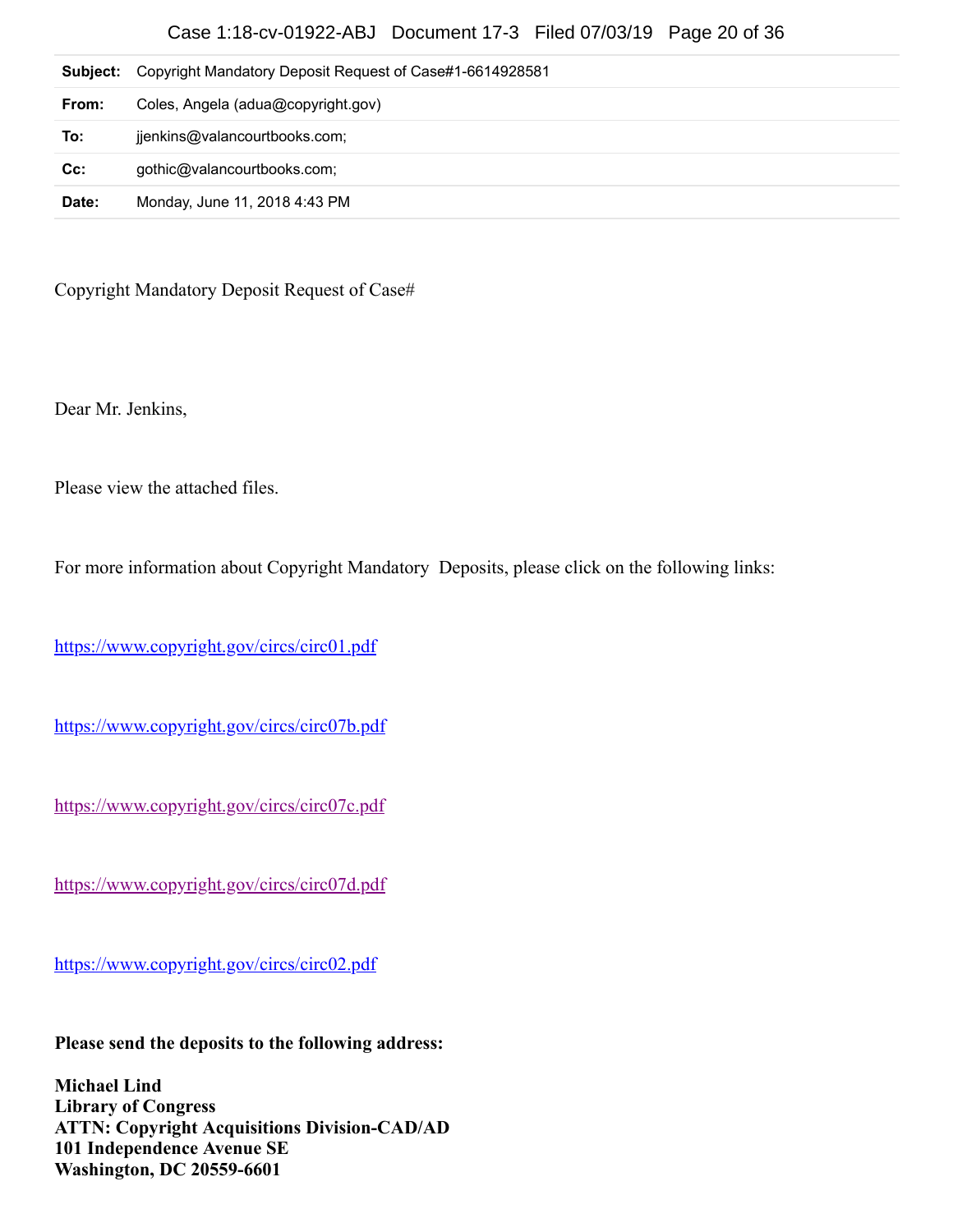## Case 1:18-cv-01922-ABJ Document 17-3 Filed 07/03/19 Page 20 of 36

| Subject: | Copyright Mandatory Deposit Request of Case#1-6614928581 |
|----------|----------------------------------------------------------|
| From:    | Coles, Angela (adua@copyright.gov)                       |
| To:      | jjenkins@valancourtbooks.com;                            |
| Cc:      | gothic@valancourtbooks.com;                              |
| Date:    | Monday, June 11, 2018 4:43 PM                            |

Copyright Mandatory Deposit Request of Case#

Dear Mr. Jenkins,

Please view the attached files.

For more information about Copyright Mandatory Deposits, please click on the following links:

<https://www.copyright.gov/circs/circ01.pdf>

<https://www.copyright.gov/circs/circ07b.pdf>

<https://www.copyright.gov/circs/circ07c.pdf>

<https://www.copyright.gov/circs/circ07d.pdf>

<https://www.copyright.gov/circs/circ02.pdf>

**Please send the deposits to the following address:**

**Michael Lind Library of Congress ATTN: Copyright Acquisitions Division-CAD/AD 101 Independence Avenue SE Washington, DC 20559-6601**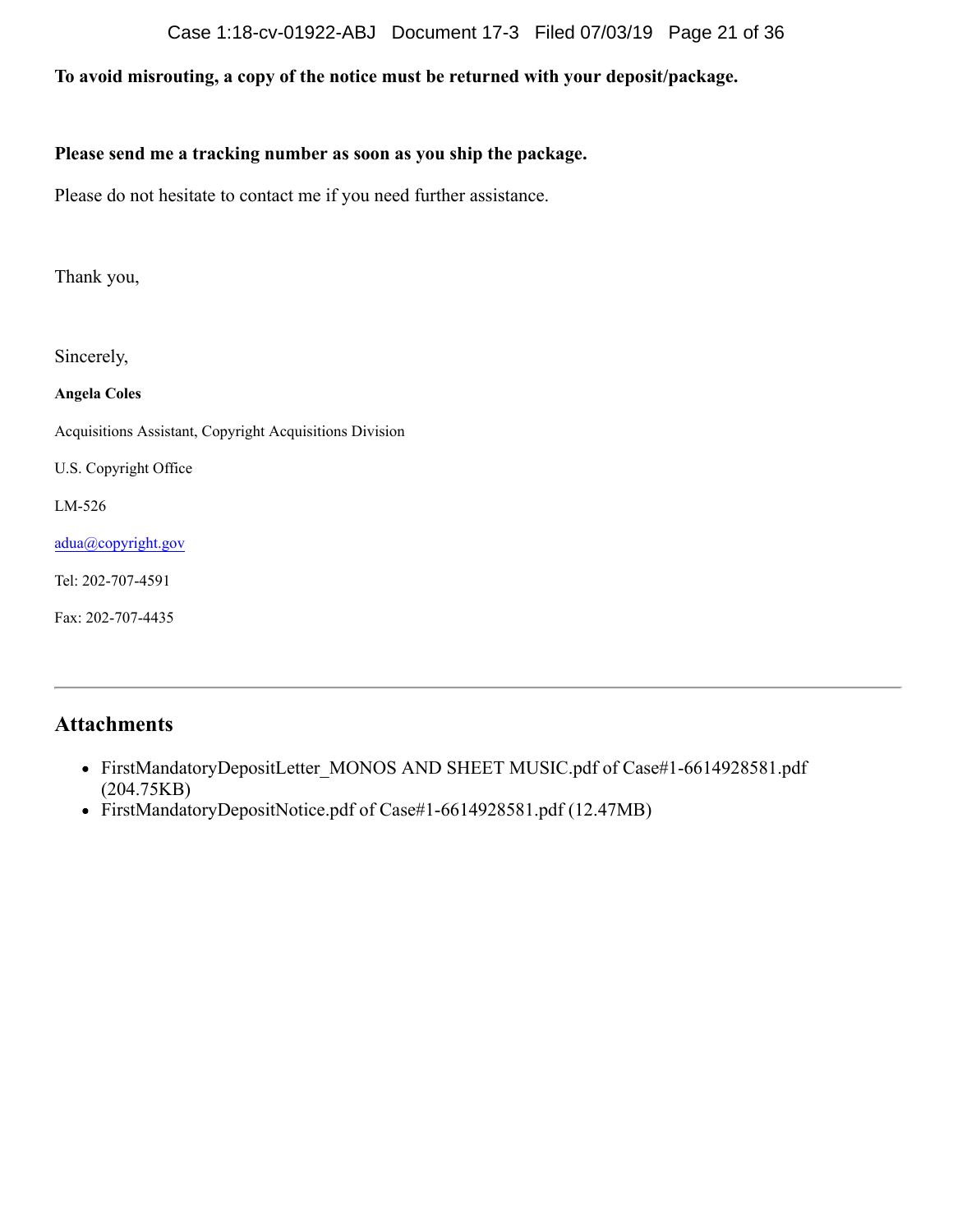### Case 1:18-cv-01922-ABJ Document 17-3 Filed 07/03/19 Page 21 of 36

# **To avoid misrouting, a copy of the notice must be returned with your deposit/package.**

## **Please send me a tracking number as soon as you ship the package.**

Please do not hesitate to contact me if you need further assistance.

Thank you,

Sincerely,

**Angela Coles**

Acquisitions Assistant, Copyright Acquisitions Division

U.S. Copyright Office

LM-526

[adua@copyright.gov](mailto:adua@copyright.gov)

Tel: 202-707-4591

Fax: 202-707-4435

## **Attachments**

- FirstMandatoryDepositLetter\_MONOS AND SHEET MUSIC.pdf of Case#1-6614928581.pdf (204.75KB)
- FirstMandatoryDepositNotice.pdf of Case#1-6614928581.pdf (12.47MB)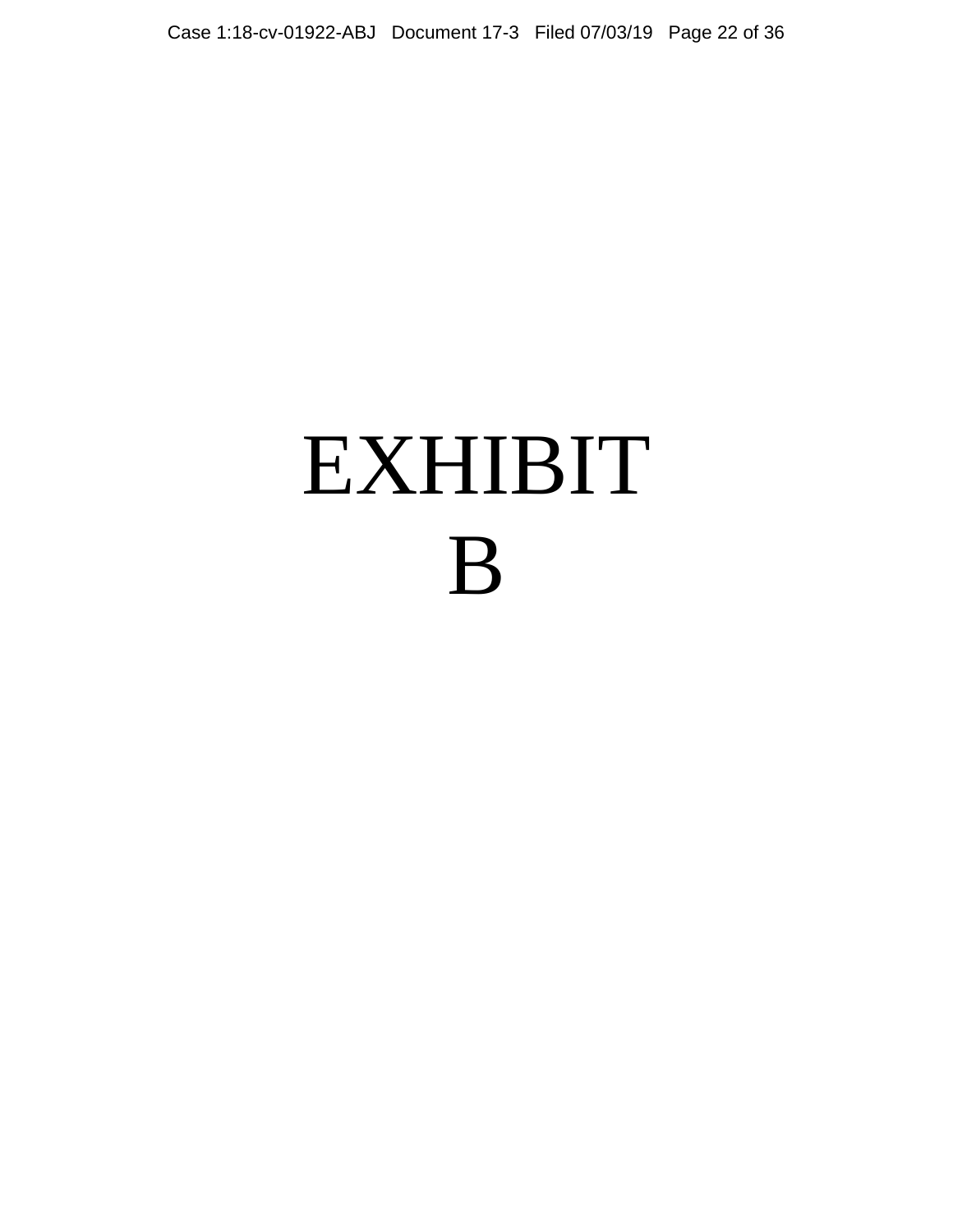# EXHIBIT B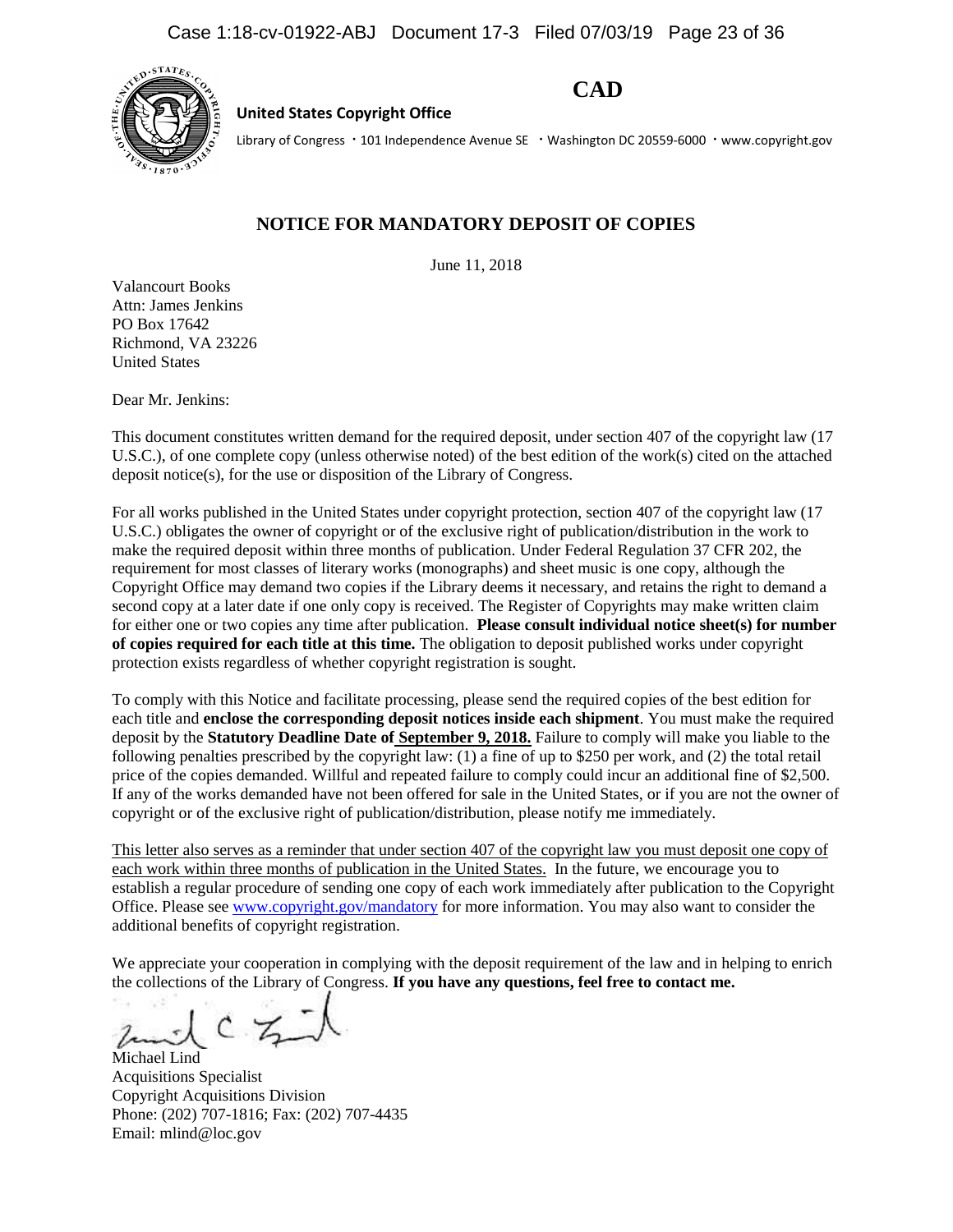

**United States Copyright Office**

**CAD**

Library of Congress · 101 Independence Avenue SE · Washington DC 20559-6000 · www.copyright.gov

## **NOTICE FOR MANDATORY DEPOSIT OF COPIES**

June 11, 2018

Valancourt Books Attn: James Jenkins PO Box 17642 Richmond, VA 23226 United States

Dear Mr. Jenkins:

This document constitutes written demand for the required deposit, under section 407 of the copyright law (17 U.S.C.), of one complete copy (unless otherwise noted) of the best edition of the work(s) cited on the attached deposit notice(s), for the use or disposition of the Library of Congress.

For all works published in the United States under copyright protection, section 407 of the copyright law (17 U.S.C.) obligates the owner of copyright or of the exclusive right of publication/distribution in the work to make the required deposit within three months of publication. Under Federal Regulation 37 CFR 202, the requirement for most classes of literary works (monographs) and sheet music is one copy, although the Copyright Office may demand two copies if the Library deems it necessary, and retains the right to demand a second copy at a later date if one only copy is received. The Register of Copyrights may make written claim for either one or two copies any time after publication. **Please consult individual notice sheet(s) for number of copies required for each title at this time.** The obligation to deposit published works under copyright protection exists regardless of whether copyright registration is sought.

To comply with this Notice and facilitate processing, please send the required copies of the best edition for each title and **enclose the corresponding deposit notices inside each shipment**. You must make the required deposit by the **Statutory Deadline Date of September 9, 2018.** Failure to comply will make you liable to the following penalties prescribed by the copyright law: (1) a fine of up to \$250 per work, and (2) the total retail price of the copies demanded. Willful and repeated failure to comply could incur an additional fine of \$2,500. If any of the works demanded have not been offered for sale in the United States, or if you are not the owner of copyright or of the exclusive right of publication/distribution, please notify me immediately.

This letter also serves as a reminder that under section 407 of the copyright law you must deposit one copy of each work within three months of publication in the United States. In the future, we encourage you to establish a regular procedure of sending one copy of each work immediately after publication to the Copyright Office. Please se[e www.copyright.gov/mandatory](http://www.copyright.gov/mandatory) for more information. You may also want to consider the additional benefits of copyright registration.

We appreciate your cooperation in complying with the deposit requirement of the law and in helping to enrich the collections of the Library of Congress. **If you have any questions, feel free to contact me.**

 $CZ$ 

Michael Lind Acquisitions Specialist Copyright Acquisitions Division Phone: (202) 707-1816; Fax: (202) 707-4435 Email: mlind@loc.gov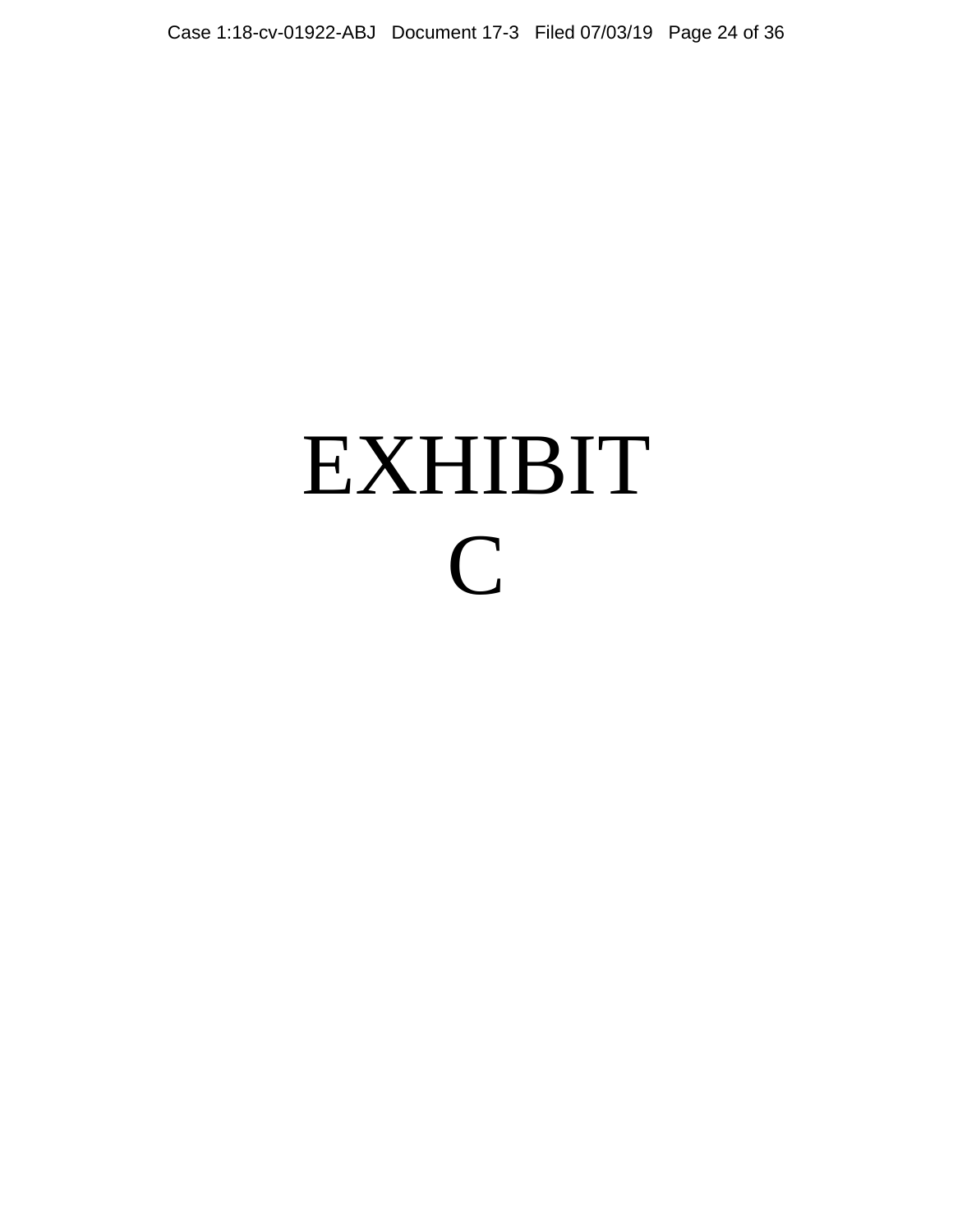# EXHIBIT C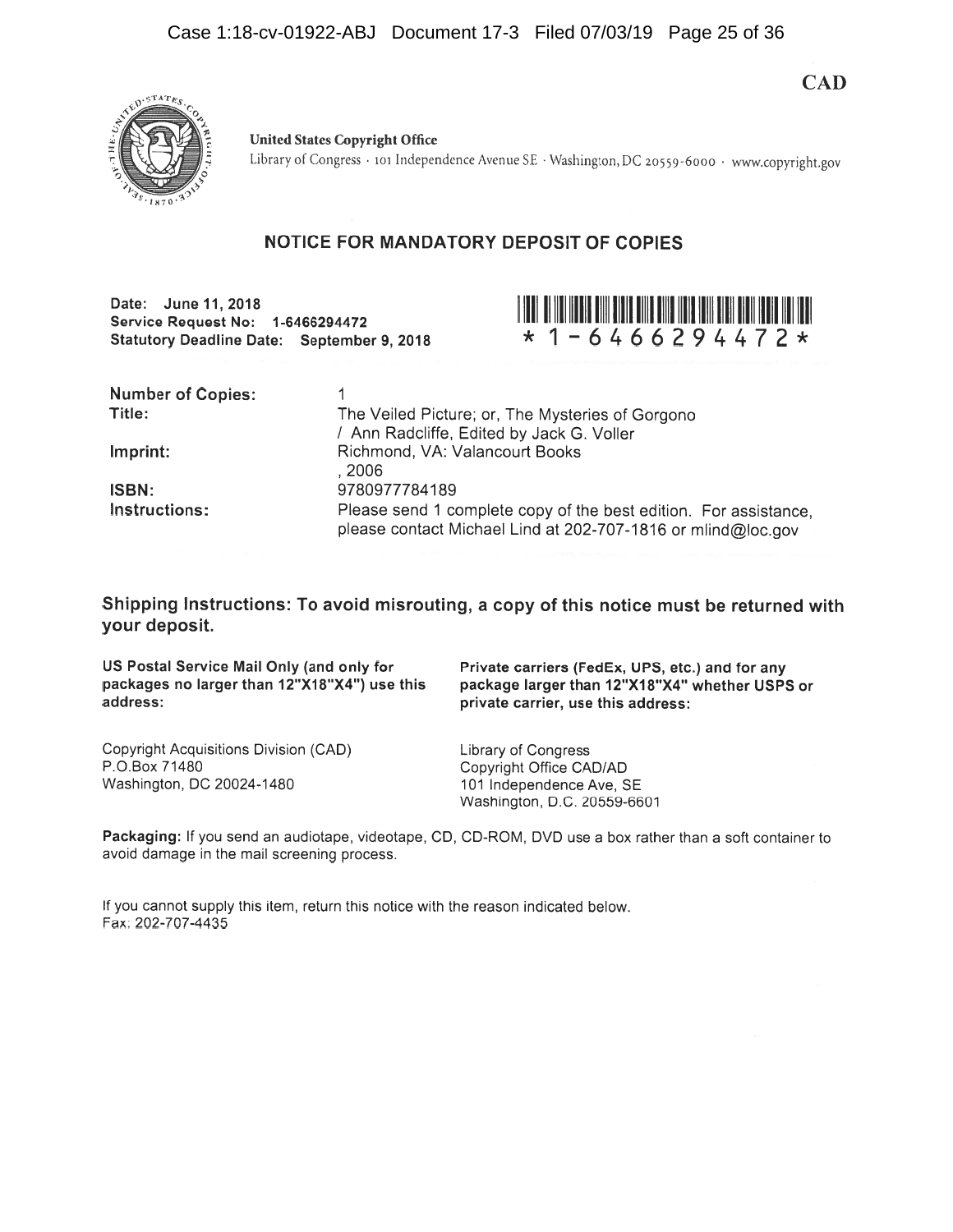**CAD** 



**United States Copyright Office** Library of Congress · 101 Independence Avenue SE · Washington, DC 20559-6000 · www.copyright.gov

## NOTICE FOR MANDATORY DEPOSIT OF COPIES

Date: June 11, 2018 Service Request No: 1-6466294472 **Statutory Deadline Date: September 9, 2018** 



| <b>Number of Copies:</b><br>Title: | The Veiled Picture; or, The Mysteries of Gorgono<br>/ Ann Radcliffe, Edited by Jack G. Voller                                    |
|------------------------------------|----------------------------------------------------------------------------------------------------------------------------------|
| Imprint:                           | Richmond, VA: Valancourt Books<br>. 2006                                                                                         |
| <b>ISBN:</b>                       | 9780977784189                                                                                                                    |
| Instructions:                      | Please send 1 complete copy of the best edition. For assistance,<br>please contact Michael Lind at 202-707-1816 or mlind@loc.gov |

Shipping Instructions: To avoid misrouting, a copy of this notice must be returned with your deposit.

US Postal Service Mail Only (and only for packages no larger than 12"X18"X4") use this address:

Private carriers (FedEx, UPS, etc.) and for any package larger than 12"X18"X4" whether USPS or private carrier, use this address:

Copyright Acquisitions Division (CAD) P.O.Box 71480 Washington, DC 20024-1480

Library of Congress Copyright Office CAD/AD 101 Independence Ave, SE Washington, D.C. 20559-6601

Packaging: If you send an audiotape, videotape, CD, CD-ROM, DVD use a box rather than a soft container to avoid damage in the mail screening process.

If you cannot supply this item, return this notice with the reason indicated below. Fax: 202-707-4435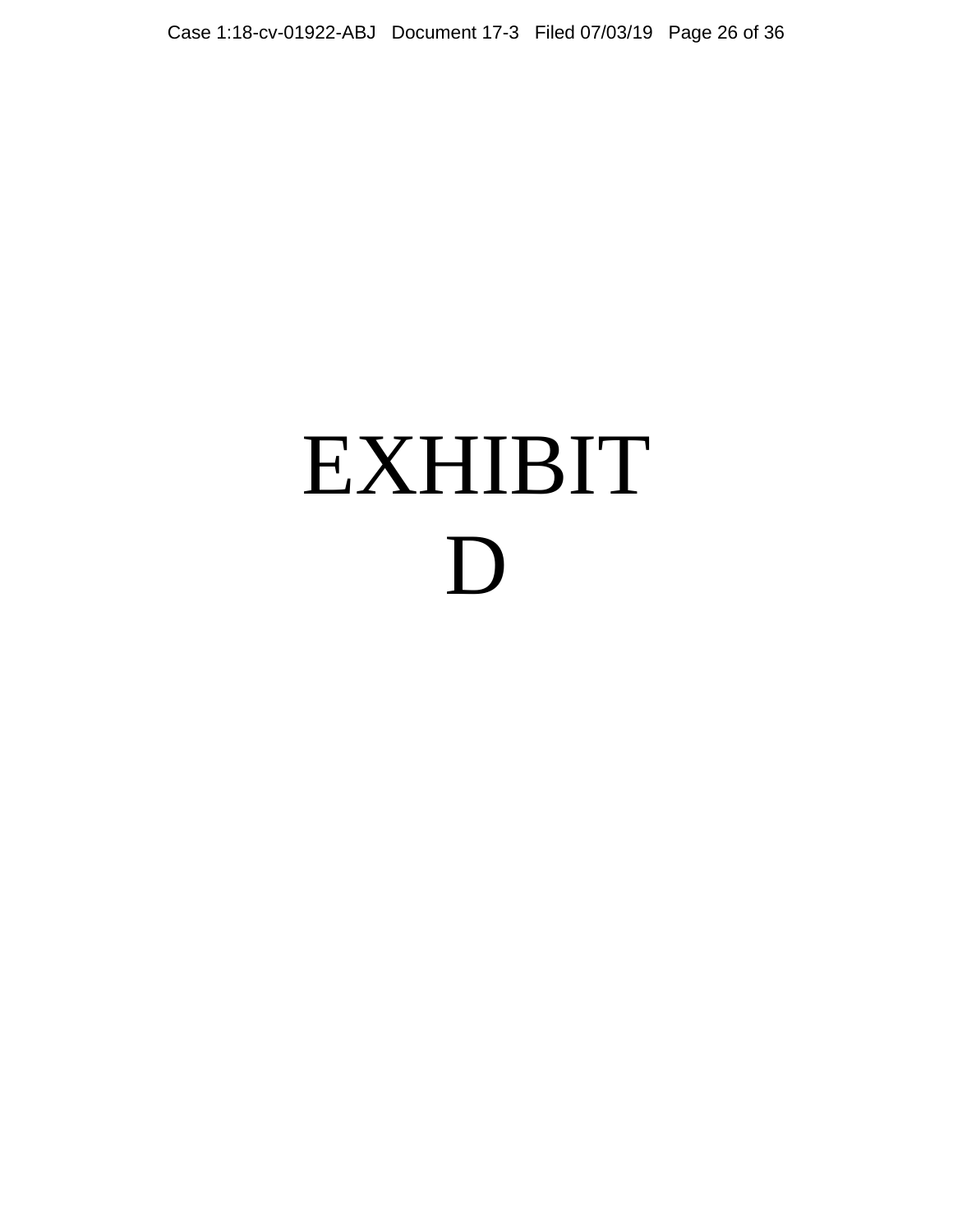# EXHIBIT D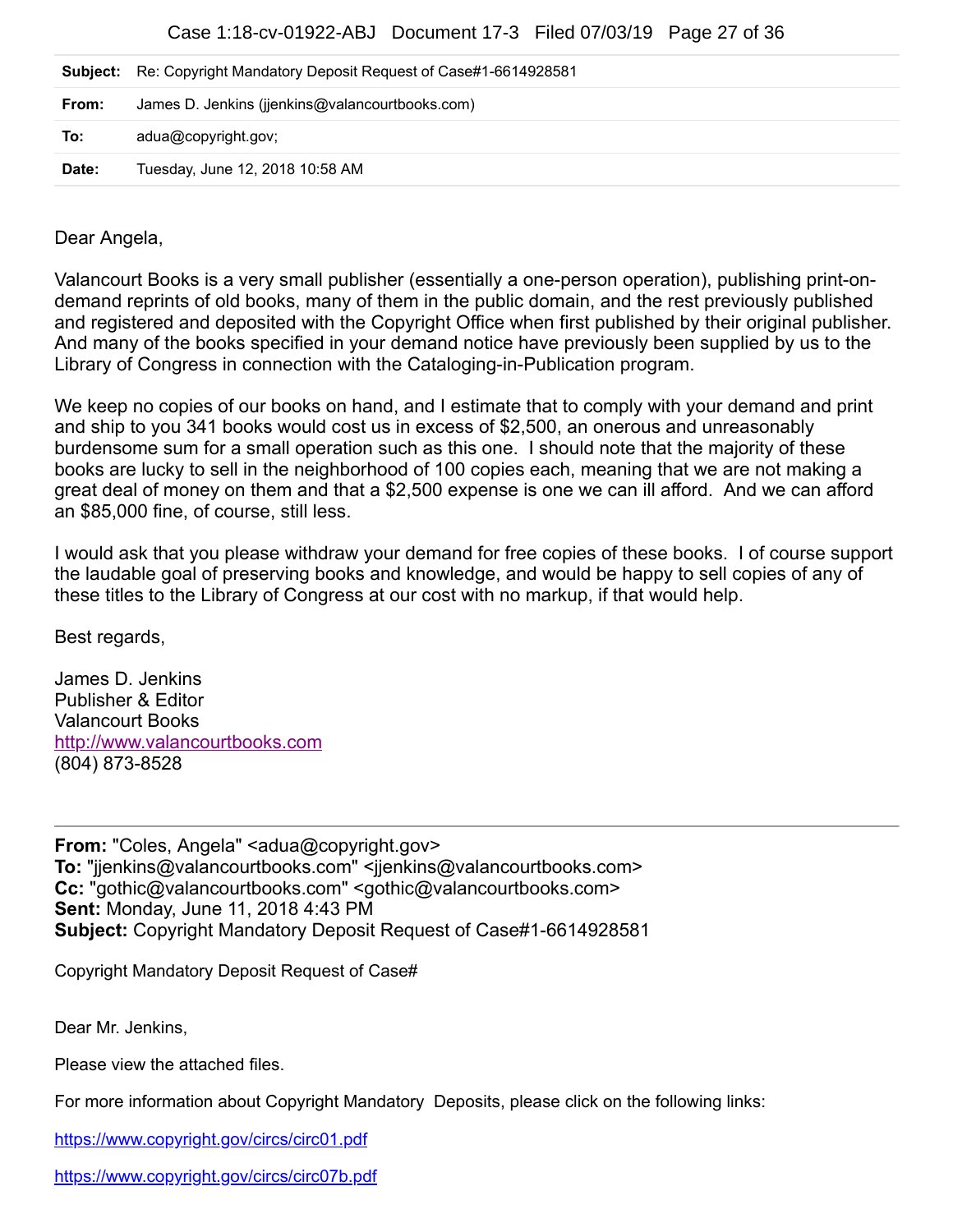Case 1:18-cv-01922-ABJ Document 17-3 Filed 07/03/19 Page 27 of 36

|       | <b>Subject:</b> Re: Copyright Mandatory Deposit Request of Case#1-6614928581 |
|-------|------------------------------------------------------------------------------|
| From: | James D. Jenkins (jienkins@valancourtbooks.com)                              |
| To:   | adua@copyright.gov;                                                          |
| Date: | Tuesday, June 12, 2018 10:58 AM                                              |

Dear Angela,

Valancourt Books is a very small publisher (essentially a one-person operation), publishing print-ondemand reprints of old books, many of them in the public domain, and the rest previously published and registered and deposited with the Copyright Office when first published by their original publisher. And many of the books specified in your demand notice have previously been supplied by us to the Library of Congress in connection with the Cataloging-in-Publication program.

We keep no copies of our books on hand, and I estimate that to comply with your demand and print and ship to you 341 books would cost us in excess of \$2,500, an onerous and unreasonably burdensome sum for a small operation such as this one. I should note that the majority of these books are lucky to sell in the neighborhood of 100 copies each, meaning that we are not making a great deal of money on them and that a \$2,500 expense is one we can ill afford. And we can afford an \$85,000 fine, of course, still less.

I would ask that you please withdraw your demand for free copies of these books. I of course support the laudable goal of preserving books and knowledge, and would be happy to sell copies of any of these titles to the Library of Congress at our cost with no markup, if that would help.

Best regards,

James D. Jenkins Publisher & Editor Valancourt Books [http://www.valancourtbooks.com](http://www.valancourtbooks.com/) (804) 873-8528

From: "Coles, Angela" <adua@copyright.gov> **To:** "jjenkins@valancourtbooks.com" <jjenkins@valancourtbooks.com> **Cc:** "gothic@valancourtbooks.com" <gothic@valancourtbooks.com> **Sent:** Monday, June 11, 2018 4:43 PM **Subject:** Copyright Mandatory Deposit Request of Case#1-6614928581

Copyright Mandatory Deposit Request of Case#

Dear Mr. Jenkins,

Please view the attached files.

For more information about Copyright Mandatory Deposits, please click on the following links:

<https://www.copyright.gov/circs/circ01.pdf>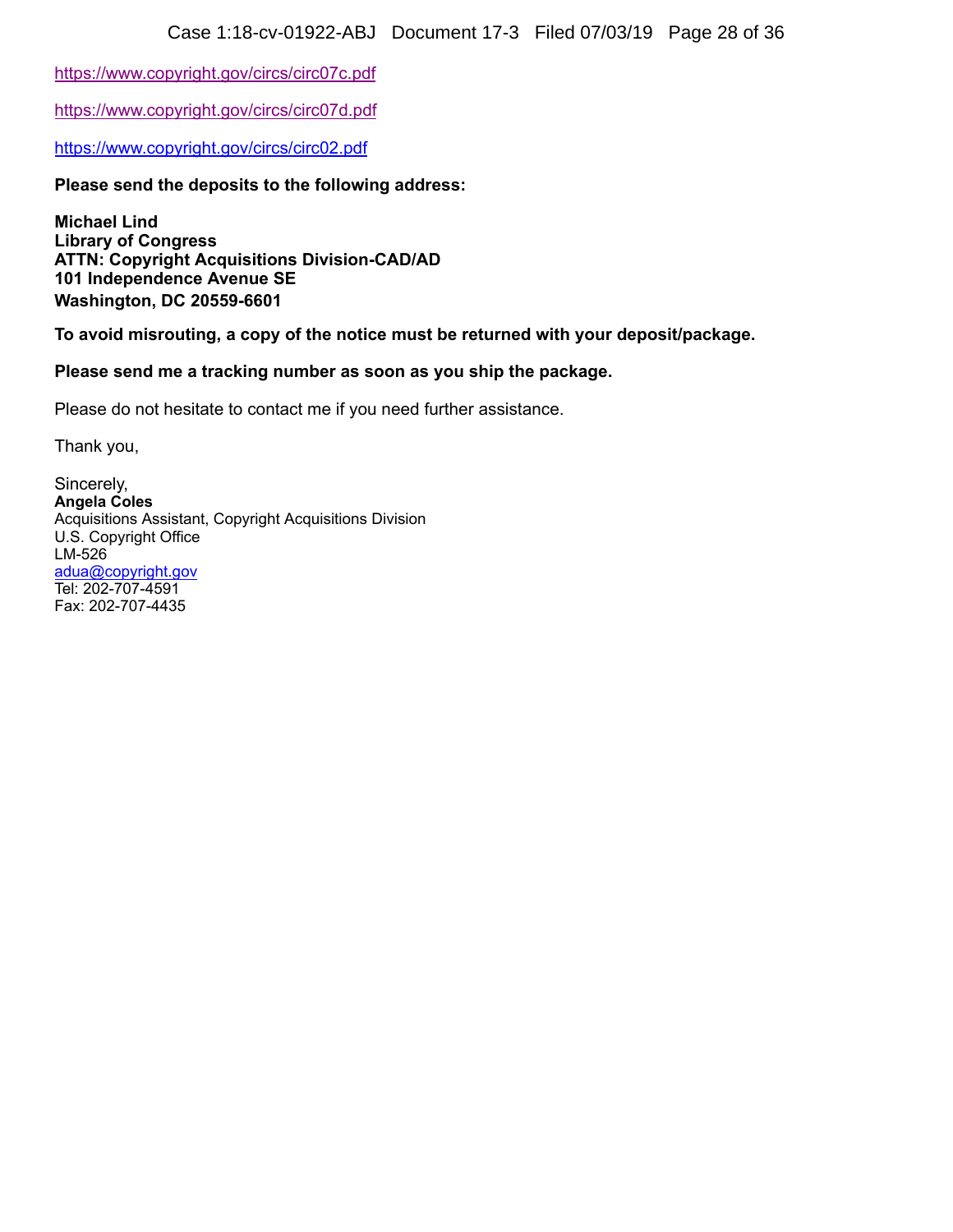<https://www.copyright.gov/circs/circ07c.pdf>

<https://www.copyright.gov/circs/circ07d.pdf>

<https://www.copyright.gov/circs/circ02.pdf>

**Please send the deposits to the following address:**

**Michael Lind Library of Congress ATTN: Copyright Acquisitions Division-CAD/AD 101 Independence Avenue SE Washington, DC 20559-6601**

**To avoid misrouting, a copy of the notice must be returned with your deposit/package.**

### **Please send me a tracking number as soon as you ship the package.**

Please do not hesitate to contact me if you need further assistance.

Thank you,

Sincerely, **Angela Coles** Acquisitions Assistant, Copyright Acquisitions Division U.S. Copyright Office LM-526 [adua@copyright.gov](mailto:adua@copyright.gov) Tel: 202-707-4591 Fax: 202-707-4435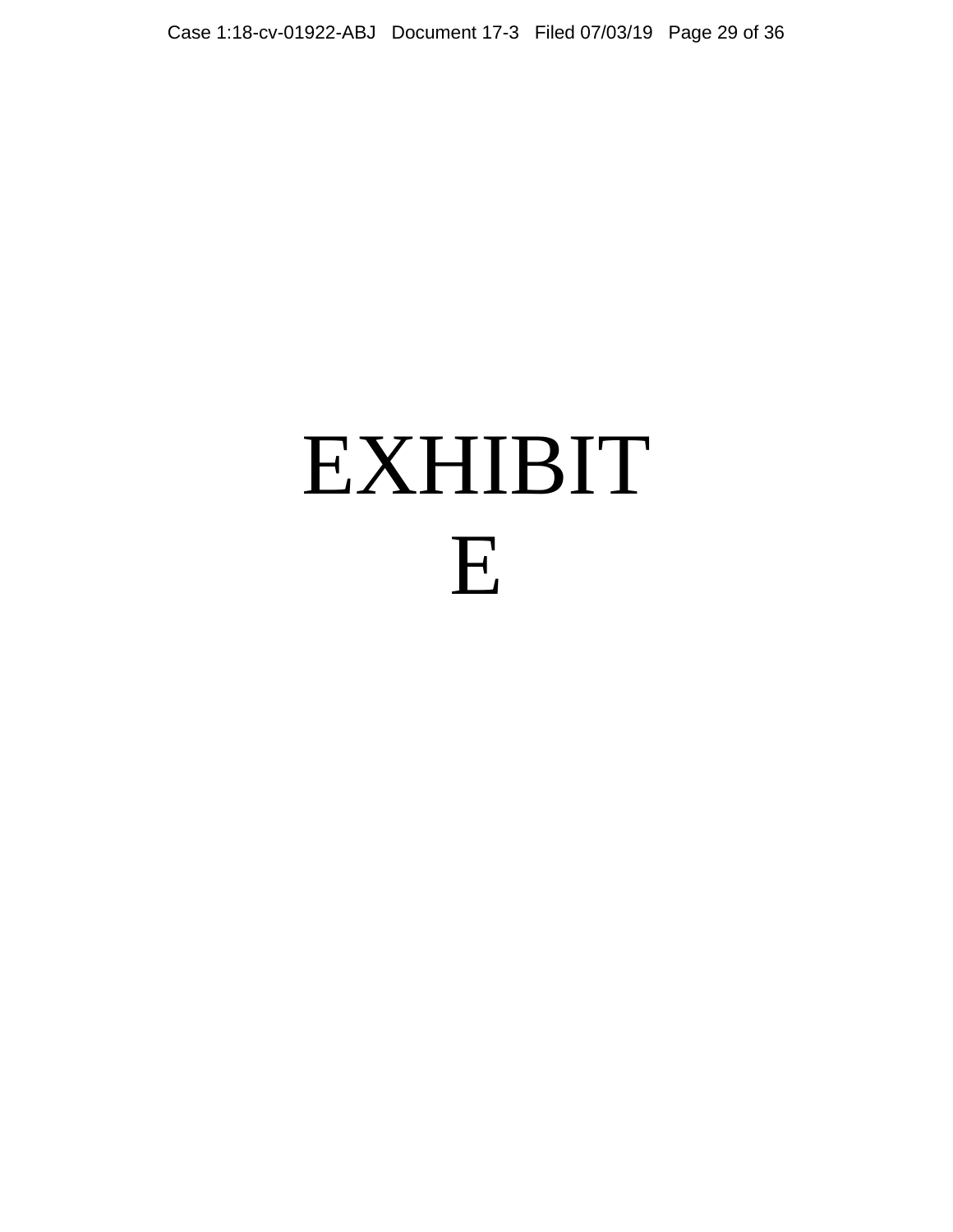# EXHIBIT E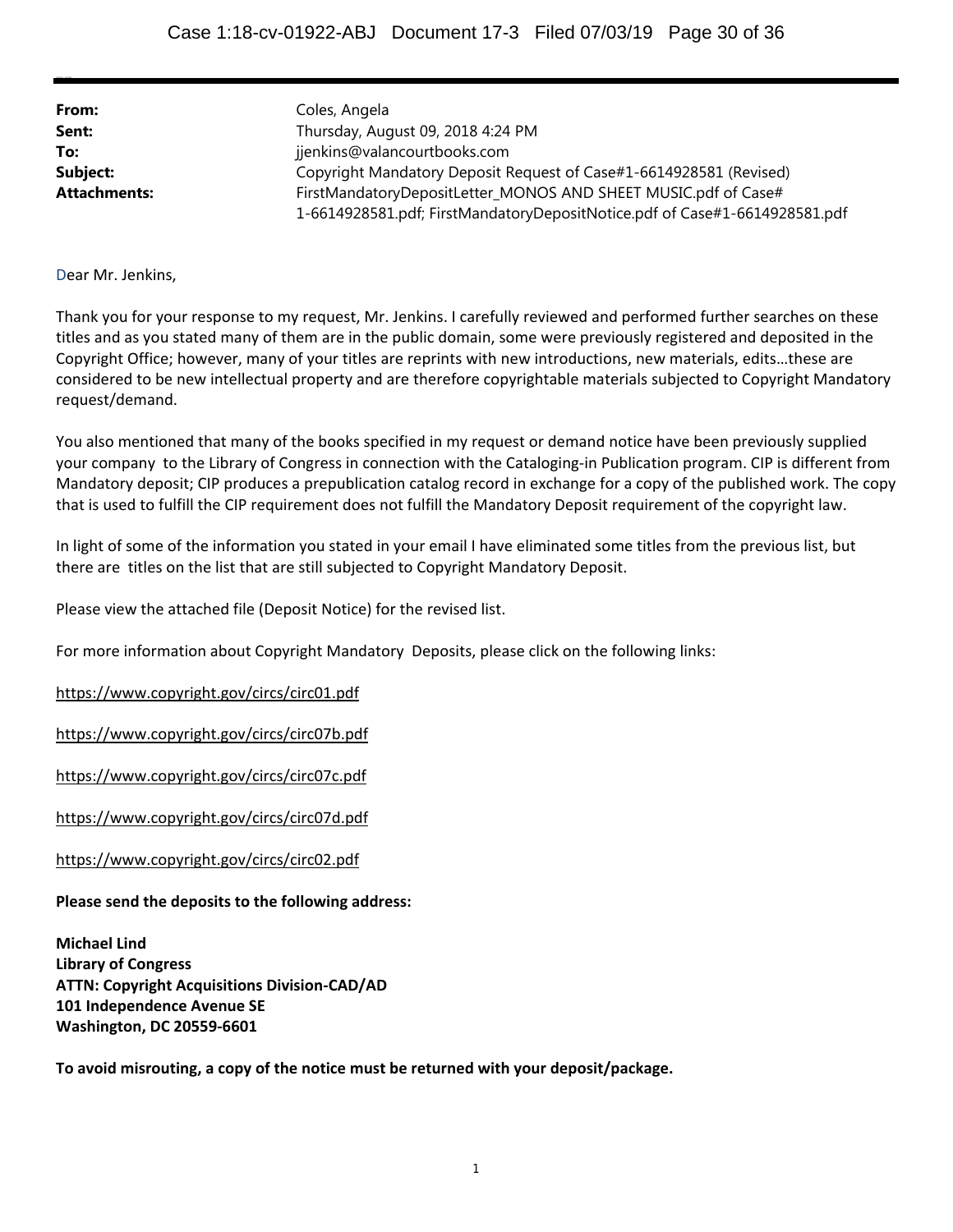| From:               | Coles, Angela                                                              |
|---------------------|----------------------------------------------------------------------------|
| Sent:               | Thursday, August 09, 2018 4:24 PM                                          |
| To:                 | jjenkins@valancourtbooks.com                                               |
| Subject:            | Copyright Mandatory Deposit Request of Case#1-6614928581 (Revised)         |
| <b>Attachments:</b> | FirstMandatoryDepositLetter_MONOS AND SHEET MUSIC.pdf of Case#             |
|                     | 1-6614928581.pdf; FirstMandatoryDepositNotice.pdf of Case#1-6614928581.pdf |

Dear Mr. Jenkins,

**CONTRACTOR** 

Thank you for your response to my request, Mr. Jenkins. I carefully reviewed and performed further searches on these titles and as you stated many of them are in the public domain, some were previously registered and deposited in the Copyright Office; however, many of your titles are reprints with new introductions, new materials, edits…these are considered to be new intellectual property and are therefore copyrightable materials subjected to Copyright Mandatory request/demand.

You also mentioned that many of the books specified in my request or demand notice have been previously supplied your company to the Library of Congress in connection with the Cataloging-in Publication program. CIP is different from Mandatory deposit; CIP produces a prepublication catalog record in exchange for a copy of the published work. The copy that is used to fulfill the CIP requirement does not fulfill the Mandatory Deposit requirement of the copyright law.

In light of some of the information you stated in your email I have eliminated some titles from the previous list, but there are titles on the list that are still subjected to Copyright Mandatory Deposit.

Please view the attached file (Deposit Notice) for the revised list.

For more information about Copyright Mandatory Deposits, please click on the following links:

https://www.copyright.gov/circs/circ01.pdf

https://www.copyright.gov/circs/circ07b.pdf

https://www.copyright.gov/circs/circ07c.pdf

https://www.copyright.gov/circs/circ07d.pdf

https://www.copyright.gov/circs/circ02.pdf

**Please send the deposits to the following address:**

**Michael Lind Library of Congress ATTN: Copyright Acquisitions Division‐CAD/AD 101 Independence Avenue SE Washington, DC 20559‐6601**

**To avoid misrouting, a copy of the notice must be returned with your deposit/package.**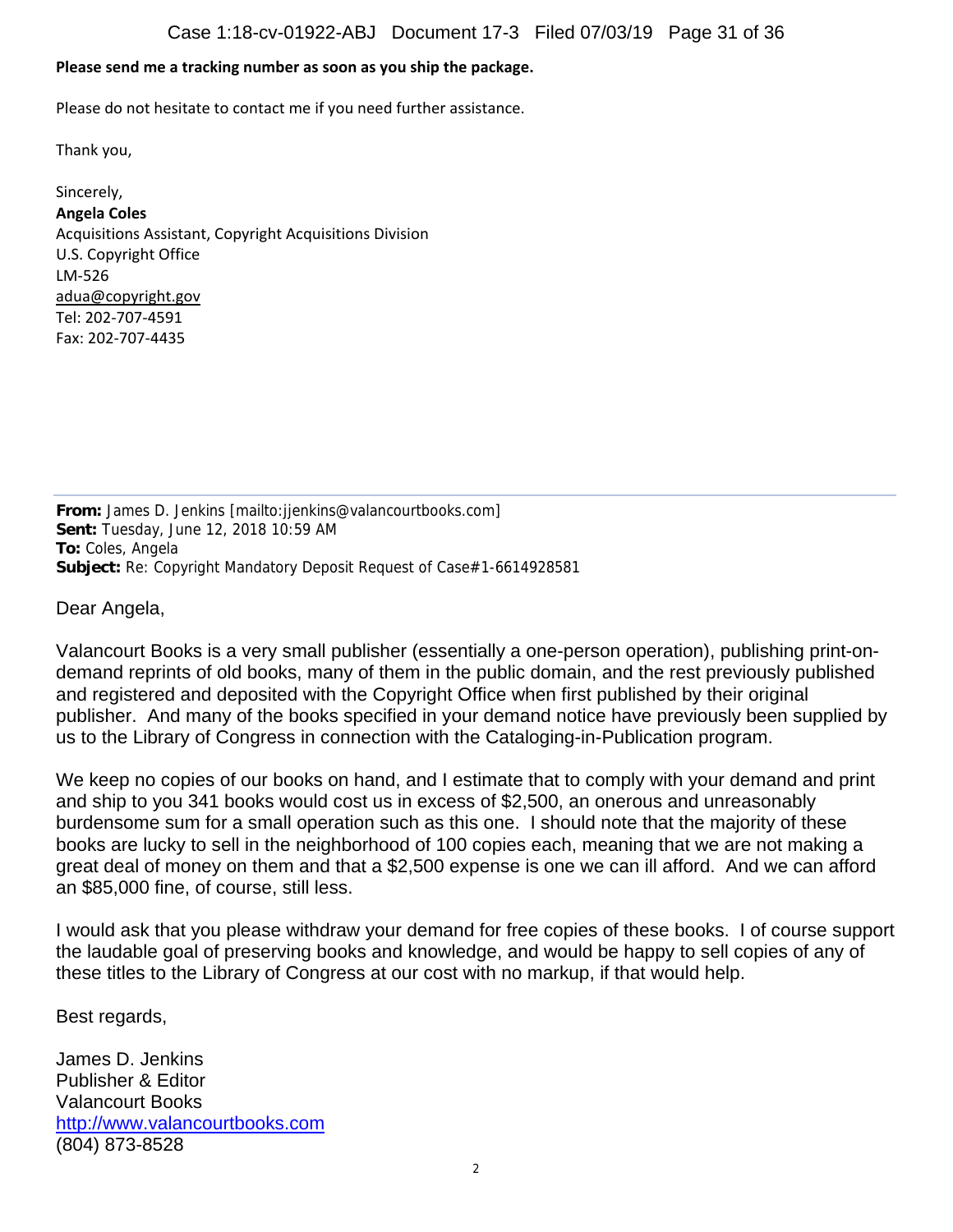### **Please send me a tracking number as soon as you ship the package.**

Please do not hesitate to contact me if you need further assistance.

Thank you,

Sincerely, **Angela Coles** Acquisitions Assistant, Copyright Acquisitions Division U.S. Copyright Office LM‐526 adua@copyright.gov Tel: 202‐707‐4591 Fax: 202‐707‐4435

**From:** James D. Jenkins [mailto:jjenkins@valancourtbooks.com] **Sent:** Tuesday, June 12, 2018 10:59 AM **To:** Coles, Angela **Subject:** Re: Copyright Mandatory Deposit Request of Case#1-6614928581

Dear Angela,

Valancourt Books is a very small publisher (essentially a one-person operation), publishing print-ondemand reprints of old books, many of them in the public domain, and the rest previously published and registered and deposited with the Copyright Office when first published by their original publisher. And many of the books specified in your demand notice have previously been supplied by us to the Library of Congress in connection with the Cataloging-in-Publication program.

We keep no copies of our books on hand, and I estimate that to comply with your demand and print and ship to you 341 books would cost us in excess of \$2,500, an onerous and unreasonably burdensome sum for a small operation such as this one. I should note that the majority of these books are lucky to sell in the neighborhood of 100 copies each, meaning that we are not making a great deal of money on them and that a \$2,500 expense is one we can ill afford. And we can afford an \$85,000 fine, of course, still less.

I would ask that you please withdraw your demand for free copies of these books. I of course support the laudable goal of preserving books and knowledge, and would be happy to sell copies of any of these titles to the Library of Congress at our cost with no markup, if that would help.

Best regards,

James D. Jenkins Publisher & Editor Valancourt Books http://www.valancourtbooks.com (804) 873-8528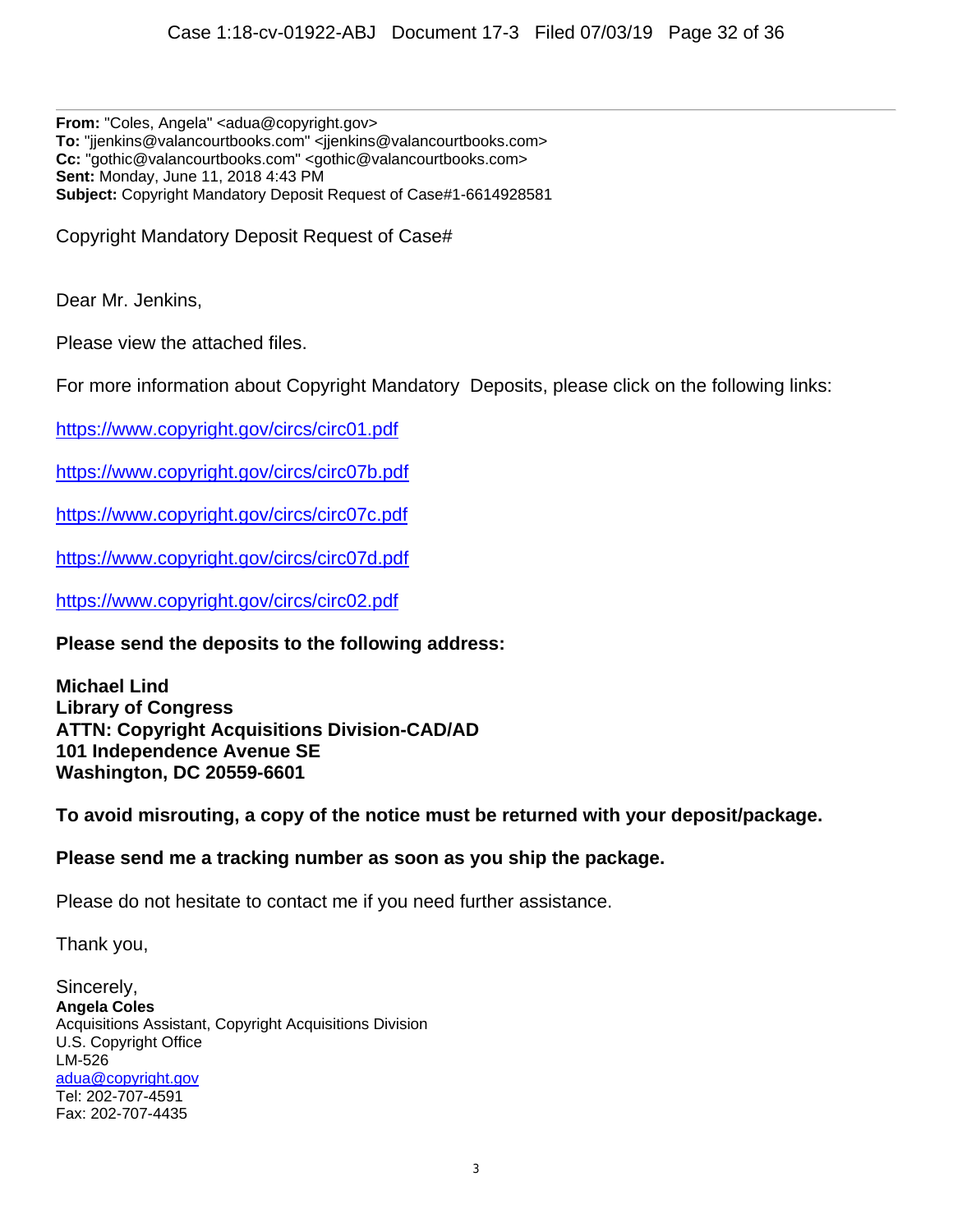**From:** "Coles, Angela" <adua@copyright.gov> **To:** "jjenkins@valancourtbooks.com" <jjenkins@valancourtbooks.com> **Cc:** "gothic@valancourtbooks.com" <gothic@valancourtbooks.com> **Sent:** Monday, June 11, 2018 4:43 PM **Subject:** Copyright Mandatory Deposit Request of Case#1-6614928581

Copyright Mandatory Deposit Request of Case#

Dear Mr. Jenkins,

Please view the attached files.

For more information about Copyright Mandatory Deposits, please click on the following links:

https://www.copyright.gov/circs/circ01.pdf

https://www.copyright.gov/circs/circ07b.pdf

https://www.copyright.gov/circs/circ07c.pdf

https://www.copyright.gov/circs/circ07d.pdf

https://www.copyright.gov/circs/circ02.pdf

**Please send the deposits to the following address:** 

**Michael Lind Library of Congress ATTN: Copyright Acquisitions Division-CAD/AD 101 Independence Avenue SE Washington, DC 20559-6601** 

**To avoid misrouting, a copy of the notice must be returned with your deposit/package.**

## **Please send me a tracking number as soon as you ship the package.**

Please do not hesitate to contact me if you need further assistance.

Thank you,

Sincerely, **Angela Coles** Acquisitions Assistant, Copyright Acquisitions Division U.S. Copyright Office LM-526 adua@copyright.gov Tel: 202-707-4591 Fax: 202-707-4435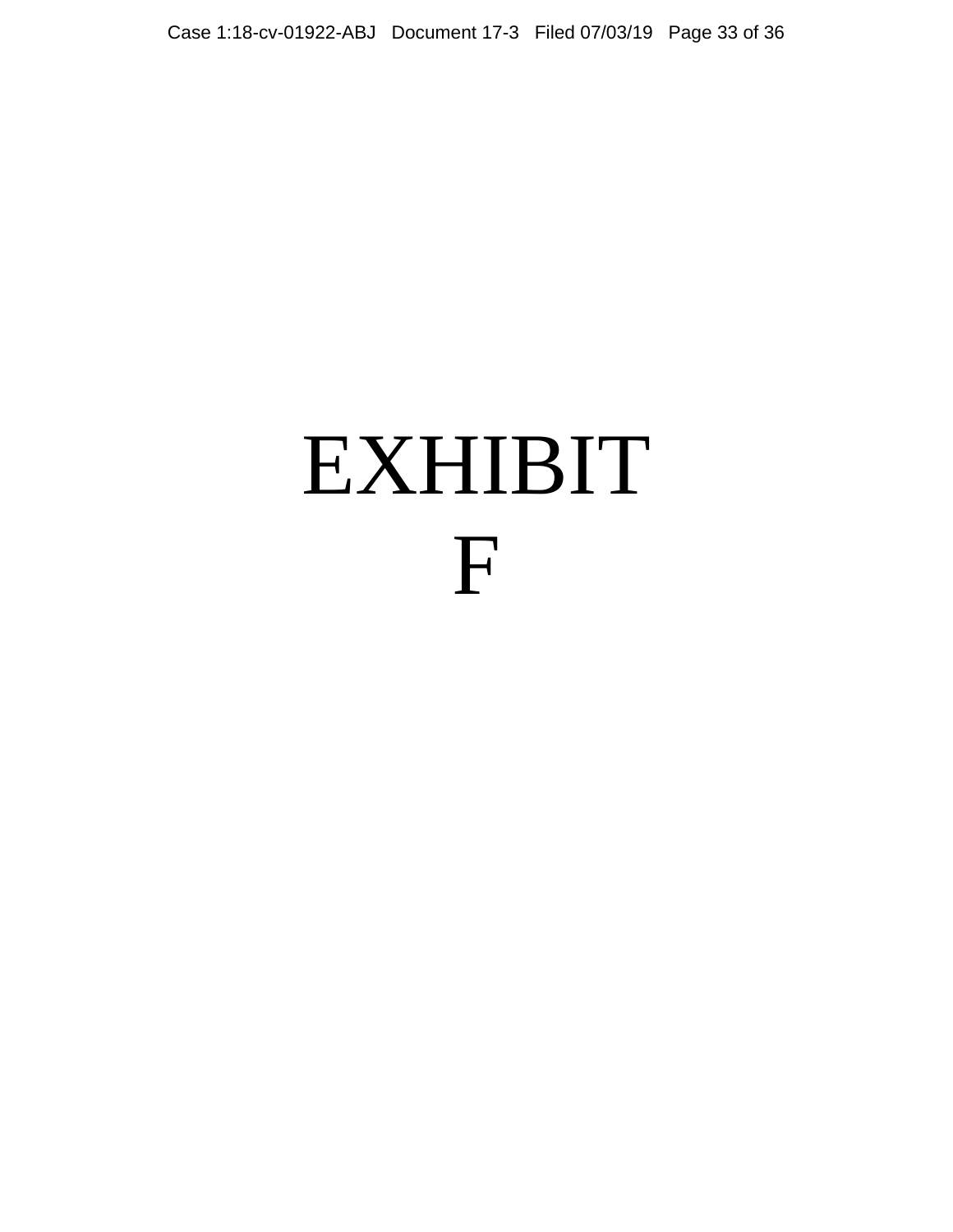# EXHIBIT F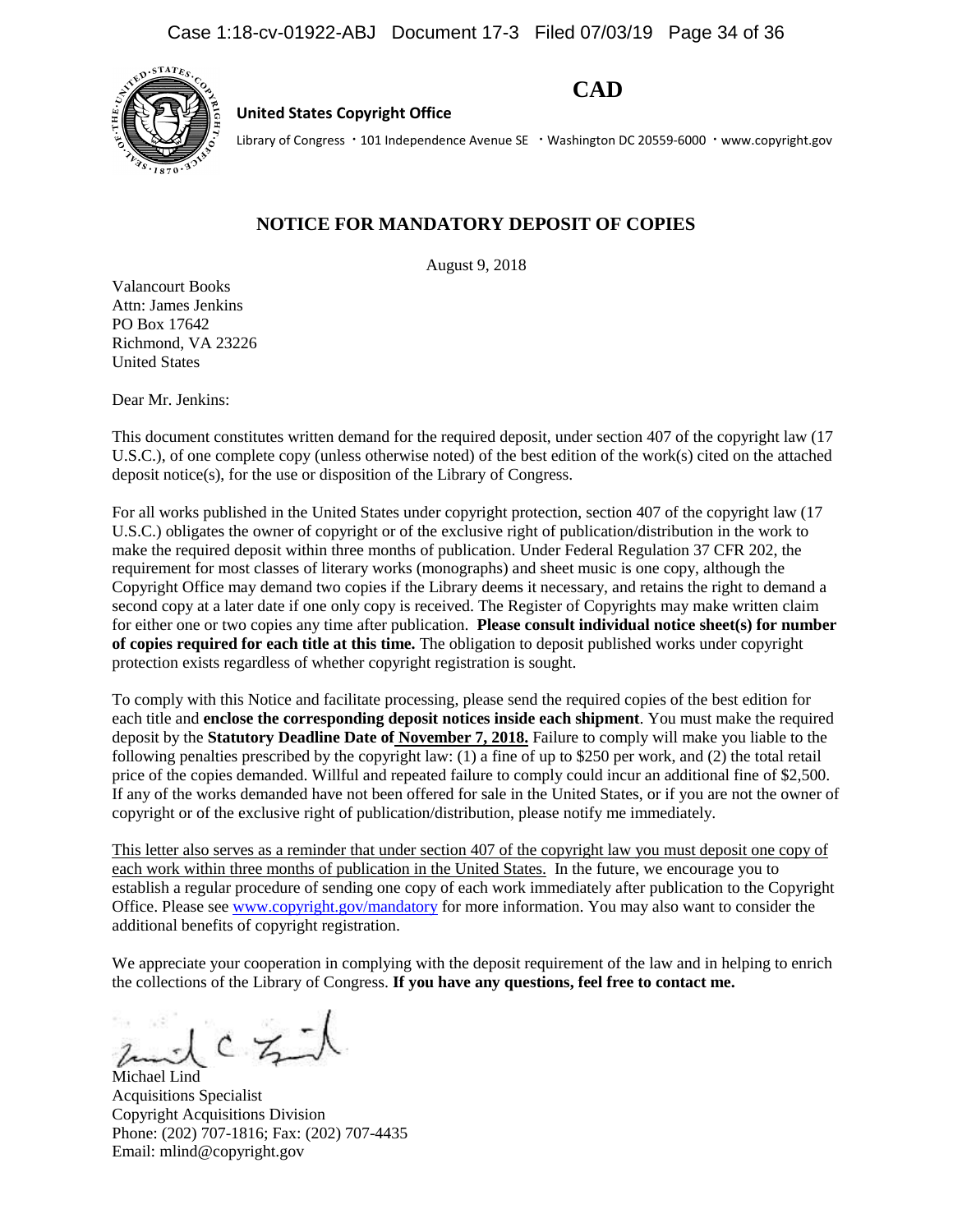

**United States Copyright Office**

**CAD**

Library of Congress · 101 Independence Avenue SE · Washington DC 20559-6000 · www.copyright.gov

## **NOTICE FOR MANDATORY DEPOSIT OF COPIES**

August 9, 2018

Valancourt Books Attn: James Jenkins PO Box 17642 Richmond, VA 23226 United States

Dear Mr. Jenkins:

This document constitutes written demand for the required deposit, under section 407 of the copyright law (17 U.S.C.), of one complete copy (unless otherwise noted) of the best edition of the work(s) cited on the attached deposit notice(s), for the use or disposition of the Library of Congress.

For all works published in the United States under copyright protection, section 407 of the copyright law (17 U.S.C.) obligates the owner of copyright or of the exclusive right of publication/distribution in the work to make the required deposit within three months of publication. Under Federal Regulation 37 CFR 202, the requirement for most classes of literary works (monographs) and sheet music is one copy, although the Copyright Office may demand two copies if the Library deems it necessary, and retains the right to demand a second copy at a later date if one only copy is received. The Register of Copyrights may make written claim for either one or two copies any time after publication. **Please consult individual notice sheet(s) for number of copies required for each title at this time.** The obligation to deposit published works under copyright protection exists regardless of whether copyright registration is sought.

To comply with this Notice and facilitate processing, please send the required copies of the best edition for each title and **enclose the corresponding deposit notices inside each shipment**. You must make the required deposit by the **Statutory Deadline Date of November 7, 2018.** Failure to comply will make you liable to the following penalties prescribed by the copyright law: (1) a fine of up to \$250 per work, and (2) the total retail price of the copies demanded. Willful and repeated failure to comply could incur an additional fine of \$2,500. If any of the works demanded have not been offered for sale in the United States, or if you are not the owner of copyright or of the exclusive right of publication/distribution, please notify me immediately.

This letter also serves as a reminder that under section 407 of the copyright law you must deposit one copy of each work within three months of publication in the United States. In the future, we encourage you to establish a regular procedure of sending one copy of each work immediately after publication to the Copyright Office. Please se[e www.copyright.gov/mandatory](http://www.copyright.gov/mandatory) for more information. You may also want to consider the additional benefits of copyright registration.

We appreciate your cooperation in complying with the deposit requirement of the law and in helping to enrich the collections of the Library of Congress. **If you have any questions, feel free to contact me.**

Michael Lind Acquisitions Specialist Copyright Acquisitions Division Phone: (202) 707-1816; Fax: (202) 707-4435 Email: mlind@copyright.gov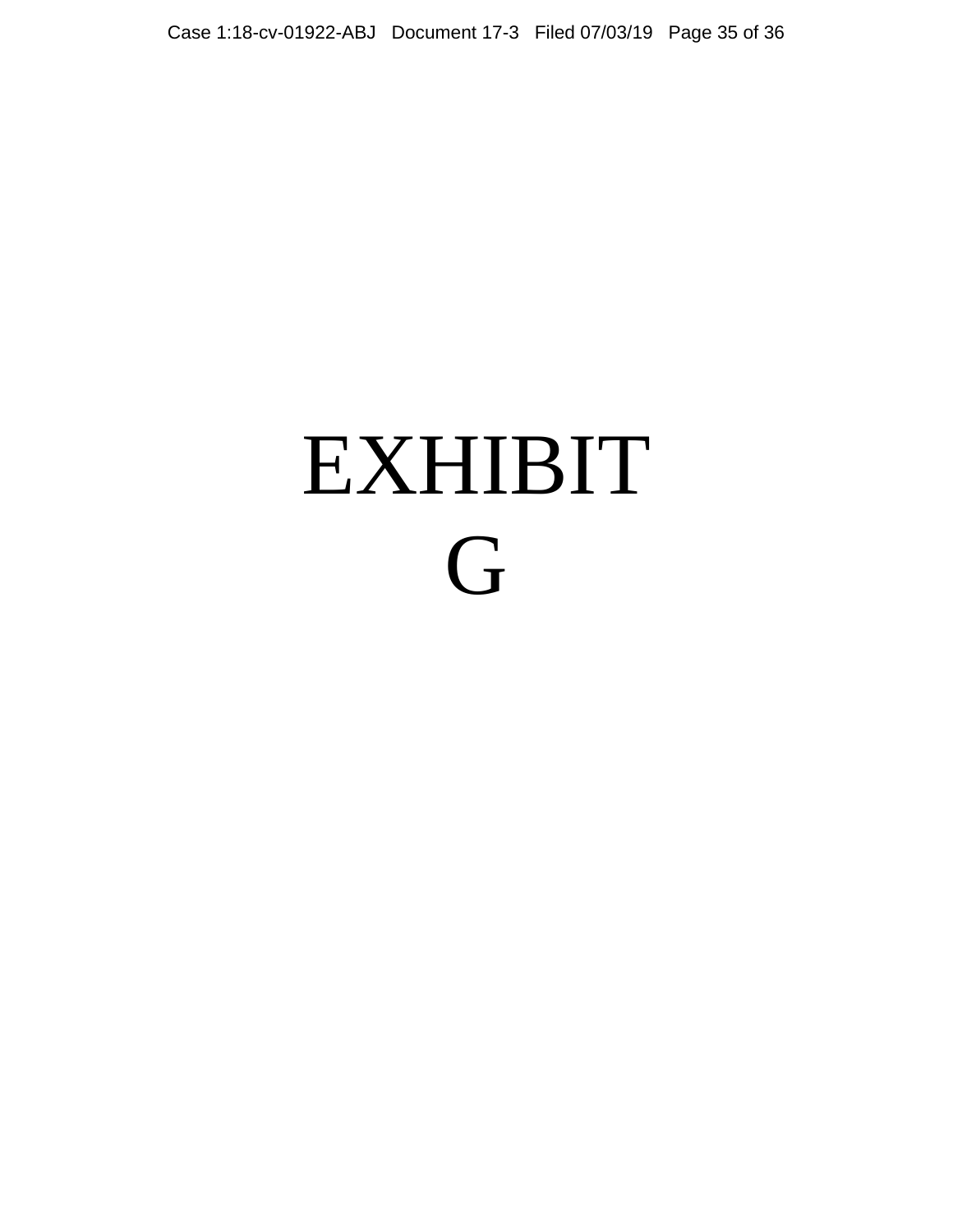# EXHIBIT G